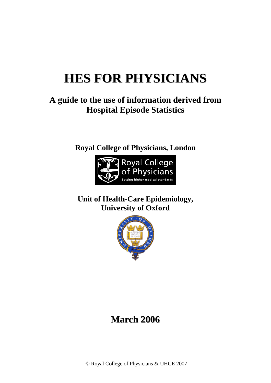# **HES FOR PHYSICIANS**

# **A guide to the use of information derived from Hospital Episode Statistics**

**[Royal College of Physicians, London](http://www.rcplondon.ac.uk/)** 



**[Unit of Health-Care Epidemiology,](http://www.uhce.ox.ac.uk/)  University of Oxford** 



# **March 2006**

© Royal College of Physicians & UHCE 2007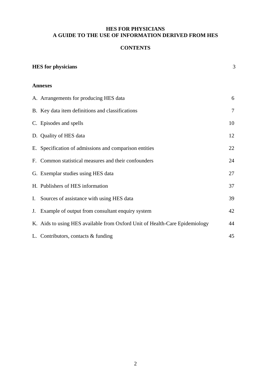# **HES FOR PHYSICIANS A GUIDE TO THE USE OF INFORMATION DERIVED FROM HES**

# **CONTENTS**

| <b>HES</b> for physicians                                                   |    |  |  |  |
|-----------------------------------------------------------------------------|----|--|--|--|
| <b>Annexes</b>                                                              |    |  |  |  |
| A. Arrangements for producing HES data                                      | 6  |  |  |  |
| B. Key data item definitions and classifications                            | 7  |  |  |  |
| C. Episodes and spells                                                      | 10 |  |  |  |
| D. Quality of HES data                                                      | 12 |  |  |  |
| E. Specification of admissions and comparison entities                      | 22 |  |  |  |
| F. Common statistical measures and their confounders                        | 24 |  |  |  |
| G. Exemplar studies using HES data                                          | 27 |  |  |  |
| H. Publishers of HES information                                            | 37 |  |  |  |
| I. Sources of assistance with using HES data                                | 39 |  |  |  |
| J. Example of output from consultant enquiry system                         | 42 |  |  |  |
| K. Aids to using HES available from Oxford Unit of Health-Care Epidemiology | 44 |  |  |  |
| L. Contributors, contacts & funding                                         | 45 |  |  |  |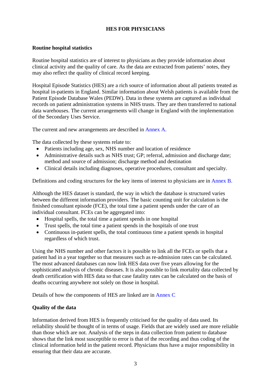## **HES FOR PHYSICIANS**

#### <span id="page-2-0"></span>**Routine hospital statistics**

Routine hospital statistics are of interest to physicians as they provide information about clinical activity and the quality of care. As the data are extracted from patients' notes, they may also reflect the quality of clinical record keeping.

Hospital Episode Statistics (HES) are a rich source of information about all patients treated as hospital in-patients in England. Similar information about Welsh patients is available from the Patient Episode Database Wales (PEDW). Data in these systems are captured as individual records on patient administration systems in NHS trusts. They are then transferred to national data warehouses. The current arrangements will change in England with the implementation of the Secondary Uses Service.

The current and new arrangements are described in [Annex A.](#page-5-0) 

The data collected by these systems relate to:

- Patients including age, sex, NHS number and location of residence
- Administrative details such as NHS trust; GP; referral, admission and discharge date; method and source of admission; discharge method and destination
- Clinical details including diagnoses, operative procedures, consultant and specialty.

Definitions and coding structures for the key items of interest to physicians are in [Annex B.](#page-6-0) 

Although the HES dataset is standard, the way in which the database is structured varies between the different information providers. The basic counting unit for calculation is the finished consultant episode (FCE), the total time a patient spends under the care of an individual consultant. FCEs can be aggregated into:

- Hospital spells, the total time a patient spends in one hospital
- Trust spells, the total time a patient spends in the hospitals of one trust
- Continuous in-patient spells, the total continuous time a patient spends in hospital regardless of which trust.

Using the NHS number and other factors it is possible to link all the FCEs or spells that a patient had in a year together so that measures such as re-admission rates can be calculated. The most advanced databases can now link HES data over five years allowing for the sophisticated analysis of chronic diseases. It is also possible to link mortality data collected by death certification with HES data so that case fatality rates can be calculated on the basis of deaths occurring anywhere not solely on those in hospital.

Details of how the components of HES are linked are i[n Annex C](#page-9-0) 

#### **Quality of the data**

Information derived from HES is frequently criticised for the quality of data used. Its reliability should be thought of in terms of usage. Fields that are widely used are more reliable than those which are not. Analysis of the steps in data collection from patient to database shows that the link most susceptible to error is that of the recording and thus coding of the clinical information held in the patient record. Physicians thus have a major responsibility in ensuring that their data are accurate.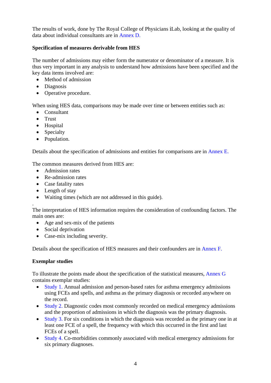The results of work, done by The Royal College of Physicians *i*Lab, looking at the quality of data about individual consultants are i[n Annex D.](#page-11-0) 

# **Specification of measures derivable from HES**

The number of admissions may either form the numerator or denominator of a measure. It is thus very important in any analysis to understand how admissions have been specified and the key data items involved are:

- Method of admission
- Diagnosis
- Operative procedure.

When using HES data, comparisons may be made over time or between entities such as:

- Consultant
- Trust
- Hospital
- Specialty
- Population.

Details about the specification of admissions and entities for comparisons are in [Annex E.](#page-21-0) 

The common measures derived from HES are:

- Admission rates
- Re-admission rates
- Case fatality rates
- Length of stay
- Waiting times (which are not addressed in this guide).

. The interpretation of HES information requires the consideration of confounding factors. The main ones are:

- Age and sex-mix of the patients
- Social deprivation
- Case-mix including severity.

Details about the specification of HES measures and their confounders are in [Annex F.](#page-23-0) 

## **Exemplar studies**

To illustrate the points made about the specification of the statistical measures, [Annex G](#page-26-0) contains exemplar studies:

- [Study 1. A](#page-27-0)nnual admission and person-based rates for asthma emergency admissions using FCEs and spells, and asthma as the primary diagnosis or recorded anywhere on the record.
- [Study 2.](#page-28-0) Diagnostic codes most commonly recorded on medical emergency admissions and the proportion of admissions in which the diagnosis was the primary diagnosis.
- [Study 3.](#page-29-0) For six conditions in which the diagnosis was recorded as the primary one in at least one FCE of a spell, the frequency with which this occurred in the first and last FCEs of a spell.
- [Study 4. C](#page-30-0)o-morbidities commonly associated with medical emergency admissions for six primary diagnoses.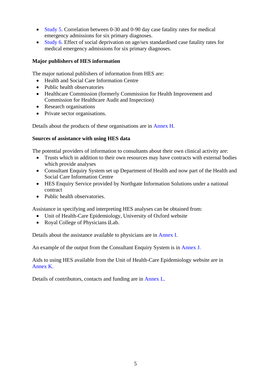- [Study 5. C](#page-31-0)orrelation between 0-30 and 0-90 day case fatality rates for medical emergency admissions for six primary diagnoses.
- [Study 6. E](#page-33-0)ffect of social deprivation on age/sex standardised case fatality rates for medical emergency admissions for six primary diagnoses.

# **Major publishers of HES information**

The major national publishers of information from HES are:

- Health and Social Care Information Centre
- Public health observatories
- Healthcare Commission (formerly Commission for Health Improvement and Commission for Healthcare Audit and Inspection)
- Research organisations
- Private sector organisations.

Details about the products of these organisations are in [Annex H.](#page-36-0) 

#### **Sources of assistance with using HES data**

The potential providers of information to consultants about their own clinical activity are:

- Trusts which in addition to their own resources may have contracts with external bodies which provide analyses
- Consultant Enquiry System set up Department of Health and now part of the Health and Social Care Information Centre
- HES Enquiry Service provided by Northgate Information Solutions under a national contract
- Public health observatories.

Assistance in specifying and interpreting HES analyses can be obtained from:

- Unit of Health-Care Epidemiology, University of Oxford website
- Royal College of Physicians *i*Lab.

Details about the assistance available to physicians are i[n Annex I.](#page-38-0) 

An example of the output from the Consultant Enquiry System is i[n Annex J.](#page-41-0) 

Aids to using HES available from the Unit of Health-Care Epidemiology website are in [Annex K.](#page-43-0)

Details of contributors, contacts and funding are i[n Annex L.](#page-44-0)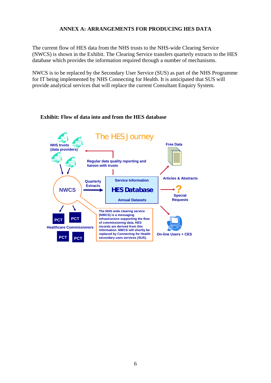#### **ANNEX A: ARRANGEMENTS FOR PRODUCING HES DATA**

<span id="page-5-0"></span>The current flow of HES data from the NHS trusts to the NHS-wide Clearing Service (NWCS) is shown in the Exhibit. The Clearing Service transfers quarterly extracts to the HES database which provides the information required through a number of mechanisms.

NWCS is to be replaced by the Secondary User Service (SUS) as part of the NHS Programme for IT being implemented by NHS Connecting for Health. It is anticipated that SUS will provide analytical services that will replace the current Consultant Enquiry System.

#### **Exhibit: Flow of data into and from the HES database**

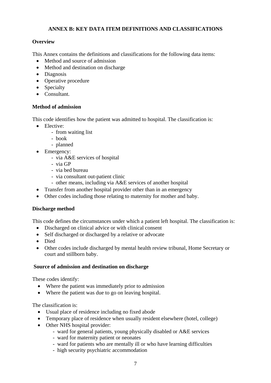# **ANNEX B: KEY DATA ITEM DEFINITIONS AND CLASSIFICATIONS**

# <span id="page-6-0"></span>**Overview**

This Annex contains the definitions and classifications for the following data items:

- Method and source of admission
- Method and destination on discharge
- Diagnosis
- Operative procedure
- Specialty
- Consultant.

# **Method of admission**

This code identifies how the patient was admitted to hospital. The classification is:

- Elective:
	- from waiting list
	- book
	- planned
- Emergency:
	- via A&E services of hospital
	- via GP
	- via bed bureau
	- via consultant out-patient clinic
	- other means, including via A&E services of another hospital
- Transfer from another hospital provider other than in an emergency
- Other codes including those relating to maternity for mother and baby.

## **Discharge method**

This code defines the circumstances under which a patient left hospital. The classification is:

- Discharged on clinical advice or with clinical consent
- Self discharged or discharged by a relative or advocate
- Died
- Other codes include discharged by mental health review tribunal, Home Secretary or court and stillborn baby.

## **Source of admission and destination on discharge**

These codes identify:

- Where the patient was immediately prior to admission
- Where the patient was due to go on leaving hospital.

The classification is:

- Usual place of residence including no fixed abode
- Temporary place of residence when usually resident elsewhere (hotel, college)
- Other NHS hospital provider:
	- ward for general patients, young physically disabled or A&E services
	- ward for maternity patient or neonates
	- ward for patients who are mentally ill or who have learning difficulties
	- high security psychiatric accommodation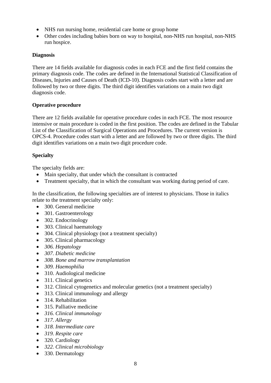- NHS run nursing home, residential care home or group home
- Other codes including babies born on way to hospital, non-NHS run hospital, non-NHS run hospice.

# **Diagnosis**

There are 14 fields available for diagnosis codes in each FCE and the first field contains the primary diagnosis code. The codes are defined in the International Statistical Classification of Diseases, Injuries and Causes of Death (ICD-10). Diagnosis codes start with a letter and are followed by two or three digits. The third digit identifies variations on a main two digit diagnosis code.

# **Operative procedure**

There are 12 fields available for operative procedure codes in each FCE. The most resource intensive or main procedure is coded in the first position. The codes are defined in the Tabular List of the Classification of Surgical Operations and Procedures. The current version is OPCS-4. Procedure codes start with a letter and are followed by two or three digits. The third digit identifies variations on a main two digit procedure code.

# **Specialty**

The specialty fields are:

- Main specialty, that under which the consultant is contracted
- Treatment specialty, that in which the consultant was working during period of care.

In the classification, the following specialties are of interest to physicians. Those in italics relate to the treatment specialty only:

- 300. General medicine
- 301. Gastroenterology
- 302. Endocrinology
- 303. Clinical haematology
- 304. Clinical physiology (not a treatment specialty)
- 305. Clinical pharmacology
- *306. Hepatology*
- *307. Diabetic medicine*
- *308. Bone and marrow transplantation*
- *309. Haemophilia*
- 310. Audiological medicine
- 311. Clinical genetics
- 312. Clinical cytogenetics and molecular genetics (not a treatment specialty)
- 313. Clinical immunology and allergy
- 314. Rehabilitation
- 315. Palliative medicine
- *316. Clinical immunology*
- *317. Allergy*
- *318. Intermediate care*
- *319. Respite care*
- 320. Cardiology
- *322. Clinical microbiology*
- 330. Dermatology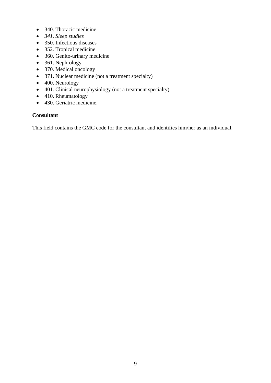- 340. Thoracic medicine
- *341. Sleep studies*
- 350. Infectious diseases
- 352. Tropical medicine
- 360. Genito-urinary medicine
- 361. Nephrology
- 370. Medical oncology
- 371. Nuclear medicine (not a treatment specialty)
- 400. Neurology
- 401. Clinical neurophysiology (not a treatment specialty)
- 410. Rheumatology
- 430. Geriatric medicine.

## **Consultant**

This field contains the GMC code for the consultant and identifies him/her as an individual.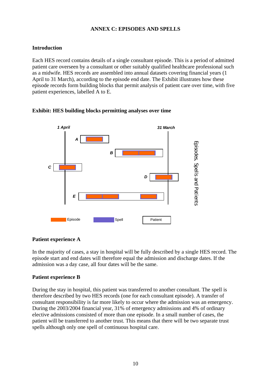# **ANNEX C: EPISODES AND SPELLS**

# <span id="page-9-0"></span>**Introduction**

Each HES record contains details of a single consultant episode. This is a period of admitted patient care overseen by a consultant or other suitably qualified healthcare professional such as a midwife. HES records are assembled into annual datasets covering financial years (1 April to 31 March), according to the episode end date. The Exhibit illustrates how these episode records form building blocks that permit analysis of patient care over time, with five patient experiences, labelled A to E.

# **Exhibit: HES building blocks permitting analyses over time**



## **Patient experience A**

In the majority of cases, a stay in hospital will be fully described by a single HES record. The episode start and end dates will therefore equal the admission and discharge dates. If the admission was a day case, all four dates will be the same.

## **Patient experience B**

During the stay in hospital, this patient was transferred to another consultant. The spell is therefore described by two HES records (one for each consultant episode). A transfer of consultant responsibility is far more likely to occur where the admission was an emergency. During the 2003/2004 financial year, 31% of emergency admissions and 4% of ordinary elective admissions consisted of more than one episode. In a small number of cases, the patient will be transferred to another trust. This means that there will be two separate trust spells although only one spell of continuous hospital care.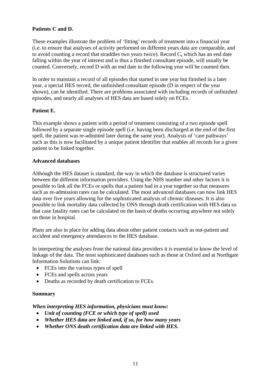## **Patients C and D.**

These examples illustrate the problem of 'fitting' records of treatment into a financial year (i.e. to ensure that analyses of activity performed on different years data are comparable, and to avoid counting a record that straddles two years twice). Record C**,** which has an end date falling within the year of interest and is thus a finished consultant episode, will usually be counted. Conversely, record D with an end date in the following year will be counted then.

In order to maintain a record of all episodes that started in one year but finished in a later year, a special HES record, the unfinished consultant episode (D in respect of the year shown), can be identified. There are problems associated with including records of unfinished episodes, and nearly all analyses of HES data are based solely on FCEs.

# **Patient E.**

This example shows a patient with a period of treatment consisting of a two episode spell followed by a separate single episode spell (i.e. having been discharged at the end of the first spell, the patient was re-admitted later during the same year). Analysis of 'care pathways' such as this is now facilitated by a unique patient identifier that enables all records for a given patient to be linked together.

#### **Advanced databases**

Although the HES dataset is standard, the way in which the database is structured varies between the different information providers. Using the NHS number and other factors it is possible to link all the FCEs or spells that a patient had in a year together so that measures such as re-admission rates can be calculated. The most advanced databases can now link HES data over five years allowing for the sophisticated analysis of chronic diseases. It is also possible to link mortality data collected by ONS through death certification with HES data so that case fatality rates can be calculated on the basis of deaths occurring anywhere not solely on those in hospital.

Plans are also in place for adding data about other patient contacts such as out-patient and accident and emergency attendances to the HES database.

In interpreting the analyses from the national data providers it is essential to know the level of linkage of the data. The most sophisticated databases such as those at Oxford and at Northgate Information Solutions can link:

- FCEs into the various types of spell
- FCEs and spells across years
- Deaths as recorded by death certification to FCEs.

## **Summary**

## *When interpreting HES information, physicians must know:*

- *Unit of counting (FCE or which type of spell) used*
- *Whether HES data are linked and, if so, for how many years*
- *Whether ONS death certification data are linked with HES.*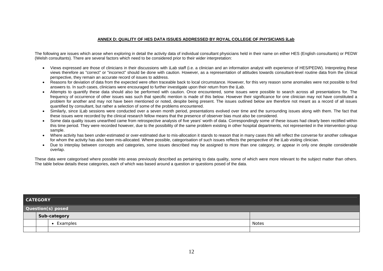#### **ANNEX D: QUALITY OF HES DATA ISSUES ADDRESSED BY ROYAL COLLEGE OF PHYSICIANS** *i***Lab**

<span id="page-11-0"></span>The following are issues which arose when exploring in detail the activity data of individual consultant physicians held in their name on either HES (English consultants) or PEDW (Welsh consultants). There are several factors which need to be considered prior to their wider interpretation:

- Views expressed are those of clinicians in their discussions with *i*Lab staff (i.e. a clinician and an information analyst with experience of HES/PEDW). Interpreting these views therefore as "correct" or "incorrect" should be done with caution. However, as a representation of attitudes towards consultant-level routine data from the clinical perspective, they remain an accurate record of issues to address.
- Reasons for deviation of data from the expected were often traceable back to local circumstance. However, for this very reason some anomalies were not possible to find answers to. In such cases, clinicians were encouraged to further investigate upon their return from the *i*Lab.
- Attempts to quantify these data should also be performed with caution. Once encountered, some issues were possible to search across all presentations for. The frequency of occurrence of other issues was such that specific mention is made of this below. However their significance for one clinician may not have constituted a problem for another and may not have been mentioned or noted, despite being present. The issues outlined below are therefore not meant as a record of all issues quantified by consultant, but rather a selection of some of the problems encountered.
- Similarly, since *i*Lab sessions were conducted over a seven month period, presentations evolved over time and the surrounding issues along with them. The fact that these issues were recorded by the clinical research fellow means that the presence of observer bias must also be considered.
- Some data quality issues unearthed came from retrospective analysis of five years' worth of data. Correspondingly some of these issues had clearly been rectified within this time period. They were recorded however, due to the possibility of the same problem existing in other hospital departments, not represented in the intervention group sample.
- Where activity has been under-estimated or over-estimated due to mis-allocation it stands to reason that in many cases this will reflect the converse for another colleague for whom the activity has also been mis-allocated. Where possible, categorisation of such issues reflects the perspective of the *i*Lab visiting clinician.
- Due to interplay between concepts and categories, some issues described may be assigned to more than one category, or appear in only one despite considerable overlap.

These data were categorised where possible into areas previously described as pertaining to data quality, some of which were more relevant to the subject matter than others. The table below details these categories, each of which was based around a question or questions posed of the data.

|                   | <b>CATEGORY</b> |              |              |  |
|-------------------|-----------------|--------------|--------------|--|
| Question(s) posed |                 |              |              |  |
|                   |                 | Sub-category |              |  |
|                   |                 | Examples     | <b>Notes</b> |  |
|                   |                 |              |              |  |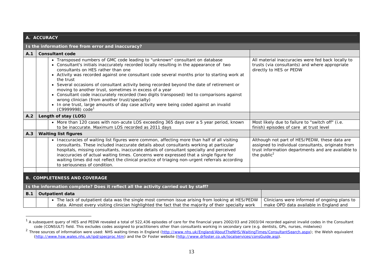|     | A. ACCURACY                         |                                                                                                                                                                                                                                                                                                                                                                                                                                                                                                                                                                                                                                                                                                                                                             |                                                                                                                                                                                      |  |
|-----|-------------------------------------|-------------------------------------------------------------------------------------------------------------------------------------------------------------------------------------------------------------------------------------------------------------------------------------------------------------------------------------------------------------------------------------------------------------------------------------------------------------------------------------------------------------------------------------------------------------------------------------------------------------------------------------------------------------------------------------------------------------------------------------------------------------|--------------------------------------------------------------------------------------------------------------------------------------------------------------------------------------|--|
|     |                                     | Is the information free from error and inaccuracy?                                                                                                                                                                                                                                                                                                                                                                                                                                                                                                                                                                                                                                                                                                          |                                                                                                                                                                                      |  |
| A.1 |                                     | <b>Consultant code</b>                                                                                                                                                                                                                                                                                                                                                                                                                                                                                                                                                                                                                                                                                                                                      |                                                                                                                                                                                      |  |
|     |                                     | • Transposed numbers of GMC code leading to "unknown" consultant on database<br>• Consultant's initials inaccurately recorded locally resulting in the appearance of two<br>consultants on HES rather than one<br>• Activity was recorded against one consultant code several months prior to starting work at<br>the trust<br>• Several occasions of consultant activity being recorded beyond the date of retirement or<br>moving to another trust, sometimes in excess of a year<br>• Consultant code inaccurately recorded (two digits transposed) led to comparisons against<br>wrong clinician (from another trust/specialty)<br>In one trust, large amounts of day case activity were being coded against an invalid<br>(C9999998) code <sup>1</sup> | All material inaccuracies were fed back locally to<br>trusts (via consultants) and where appropriate<br>directly to HES or PEDW                                                      |  |
| A.2 |                                     | Length of stay (LOS)                                                                                                                                                                                                                                                                                                                                                                                                                                                                                                                                                                                                                                                                                                                                        |                                                                                                                                                                                      |  |
|     |                                     | • More than 120 cases with non-acute LOS exceeding 365 days over a 5 year period, known<br>to be inaccurate. Maximum LOS recorded as 2011 days                                                                                                                                                                                                                                                                                                                                                                                                                                                                                                                                                                                                              | Most likely due to failure to "switch off" (i.e.<br>finish) episodes of care at trust level                                                                                          |  |
| A.3 |                                     | <b>Waiting list figures</b>                                                                                                                                                                                                                                                                                                                                                                                                                                                                                                                                                                                                                                                                                                                                 |                                                                                                                                                                                      |  |
|     |                                     | • Inaccuracies of waiting list figures were common, affecting more than half of all visiting<br>consultants. These included inaccurate details about consultants working at particular<br>hospitals, missing consultants, inaccurate details of consultant specialty and perceived<br>inaccuracies of actual waiting times. Concerns were expressed that a single figure for<br>waiting times did not reflect the clinical practice of triaging non-urgent referrals according<br>to seriousness of condition.                                                                                                                                                                                                                                              | Although not part of HES/PEDW, these data are<br>assigned to individual consultants, originate from<br>trust information departments and are available to<br>the public <sup>2</sup> |  |
|     |                                     |                                                                                                                                                                                                                                                                                                                                                                                                                                                                                                                                                                                                                                                                                                                                                             |                                                                                                                                                                                      |  |
|     | <b>B. COMPLETENESS AND COVERAGE</b> |                                                                                                                                                                                                                                                                                                                                                                                                                                                                                                                                                                                                                                                                                                                                                             |                                                                                                                                                                                      |  |
|     |                                     | Is the information complete? Does it reflect all the activity carried out by staff?                                                                                                                                                                                                                                                                                                                                                                                                                                                                                                                                                                                                                                                                         |                                                                                                                                                                                      |  |
| B.1 |                                     | <b>Outpatient data</b>                                                                                                                                                                                                                                                                                                                                                                                                                                                                                                                                                                                                                                                                                                                                      |                                                                                                                                                                                      |  |
|     |                                     | • The lack of outpatient data was the single most common issue arising from looking at HES/PEDW<br>data. Almost every visiting clinician highlighted the fact that the majority of their specialty work                                                                                                                                                                                                                                                                                                                                                                                                                                                                                                                                                     | Clinicians were informed of ongoing plans to<br>make OPD data available in England and                                                                                               |  |

 $1$  A subsequent query of HES and PEDW revealed a total of 522,436 episodes of care for the financial years 2002/03 and 2003/04 recorded against invalid codes in the Consultant code (CONSULT) field. This excludes codes assigned to practitioners other than consultants working in secondary care (e.g. dentists, GPs, nurses, midwives)

<sup>&</sup>lt;sup>2</sup> Three sources of information were used: NHS waiting times in England (http://www.nhs.uk/England/AboutTheNHS/WaitingTimes/ConsultantSearch.aspx); the Welsh equivalent (http://www.hsw.wales.nhs.uk/ipd/specproc.htm) and the Dr Foster website (http://www.drfoster.co.uk/localservices/consGuide.asp).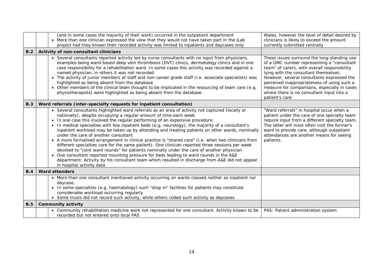|     | (and in some cases the majority of their work) occurred in the outpatient department<br>• More than one clinician expressed the view that they would not have taken part in the <i>i</i> Lab<br>project had they known their recorded activity was limited to inpatients and daycases only                                                                                                                                                                                                                                                                                                                                                                                                                                                                                                                                                                                                                                                                                                                                               | Wales, however the level of detail desired by<br>clinicians is likely to exceed the amount<br>currently submitted centrally                                                                                                                                                                                                                                                                    |
|-----|------------------------------------------------------------------------------------------------------------------------------------------------------------------------------------------------------------------------------------------------------------------------------------------------------------------------------------------------------------------------------------------------------------------------------------------------------------------------------------------------------------------------------------------------------------------------------------------------------------------------------------------------------------------------------------------------------------------------------------------------------------------------------------------------------------------------------------------------------------------------------------------------------------------------------------------------------------------------------------------------------------------------------------------|------------------------------------------------------------------------------------------------------------------------------------------------------------------------------------------------------------------------------------------------------------------------------------------------------------------------------------------------------------------------------------------------|
| B.2 | Activity of non-consultant clinicians                                                                                                                                                                                                                                                                                                                                                                                                                                                                                                                                                                                                                                                                                                                                                                                                                                                                                                                                                                                                    |                                                                                                                                                                                                                                                                                                                                                                                                |
|     | • Several consultants reported activity led by nurse consultants with no input from physicians,<br>examples being ward-based deep vein thrombosis (DVT) clinics, dermatology clinics and in one<br>case responsibility for a rehabilitation ward. In some cases this activity was recorded against a<br>named physician, in others it was not recorded<br>• The activity of junior members of staff and non-career grade staff (i.e. associate specialists) was<br>highlighted as being absent from the database<br>• Other members of the clinical team thought to be implicated in the resourcing of team care (e.g.<br>physiotherapists) were highlighted as being absent from the database                                                                                                                                                                                                                                                                                                                                           | These issues surround the long-standing use<br>of a GMC number representing a "consultant<br>team" of carers, with overall responsibility<br>lying with the consultant themselves.<br>However, several consultants expressed the<br>perceived inappropriateness of using such a<br>measure for comparisons, especially in cases<br>where there is no consultant input into a<br>patient's care |
| B.3 | Ward referrals (inter-specialty requests for inpatient consultation)                                                                                                                                                                                                                                                                                                                                                                                                                                                                                                                                                                                                                                                                                                                                                                                                                                                                                                                                                                     |                                                                                                                                                                                                                                                                                                                                                                                                |
|     | • Several consultants highlighted ward referrals as an area of activity not captured (locally or<br>nationally), despite occupying a regular amount of time each week<br>• In one case this involved the regular performing of an expensive procedure<br>• In medical specialties with few inpatient beds (e.g. neurology), the majority of a consultant's<br>inpatient workload may be taken up by attending and treating patients on other wards, nominally<br>under the care of another consultant<br>• A more formalised arrangement in clinical practice is "shared care" (i.e. when two clinicians from<br>different specialties care for the same patient). One clinician reported three sessions per week<br>devoted to "joint ward rounds" for patients nominally under the care of another physician<br>• One consultant reported mounting pressure for beds leading to ward rounds in the A&E<br>department. Activity by his consultant team which resulted in discharge from A&E did not appear<br>in hospital activity data | "Ward referrals" in hospital occur when a<br>patient under the care of one specialty team<br>require input from a different specialty team.<br>The latter will most often visit the former's<br>ward to provide care, although outpatient<br>attendances are another means for seeing<br>patients.                                                                                             |
| B.4 | <b>Ward attenders</b>                                                                                                                                                                                                                                                                                                                                                                                                                                                                                                                                                                                                                                                                                                                                                                                                                                                                                                                                                                                                                    |                                                                                                                                                                                                                                                                                                                                                                                                |
|     | • More than one consultant mentioned activity occurring on wards classed neither as inpatient nor<br>daycase.<br>• In some specialties (e.g. haematology) such "drop in" facilities for patients may constitute<br>considerable workload occurring regularly<br>• Some trusts did not record such activity, while others coded such activity as daycases                                                                                                                                                                                                                                                                                                                                                                                                                                                                                                                                                                                                                                                                                 |                                                                                                                                                                                                                                                                                                                                                                                                |
| B.5 | <b>Community activity</b>                                                                                                                                                                                                                                                                                                                                                                                                                                                                                                                                                                                                                                                                                                                                                                                                                                                                                                                                                                                                                |                                                                                                                                                                                                                                                                                                                                                                                                |
|     | • Community rehabilitation medicine work not represented for one consultant. Activity known to be<br>recorded but not entered onto local PAS                                                                                                                                                                                                                                                                                                                                                                                                                                                                                                                                                                                                                                                                                                                                                                                                                                                                                             | PAS: Patient administration system                                                                                                                                                                                                                                                                                                                                                             |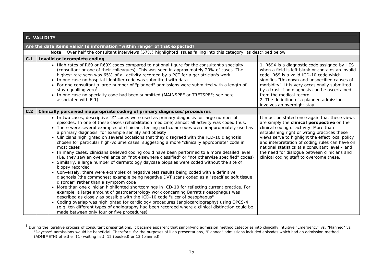|     | C. VALIDITY                                                                                                                                                                                                                                                                                                                                                                                                                                                                                                                                                                                                                                                                                                                                                                                                                                                                                                                                                                                                                                                                                                                                                                                                                                                                                                                                                                                                                                                                                                                                                                                                                                                            |                                                                                                                                                                                                                                                                                                                                                                                                                                           |  |  |
|-----|------------------------------------------------------------------------------------------------------------------------------------------------------------------------------------------------------------------------------------------------------------------------------------------------------------------------------------------------------------------------------------------------------------------------------------------------------------------------------------------------------------------------------------------------------------------------------------------------------------------------------------------------------------------------------------------------------------------------------------------------------------------------------------------------------------------------------------------------------------------------------------------------------------------------------------------------------------------------------------------------------------------------------------------------------------------------------------------------------------------------------------------------------------------------------------------------------------------------------------------------------------------------------------------------------------------------------------------------------------------------------------------------------------------------------------------------------------------------------------------------------------------------------------------------------------------------------------------------------------------------------------------------------------------------|-------------------------------------------------------------------------------------------------------------------------------------------------------------------------------------------------------------------------------------------------------------------------------------------------------------------------------------------------------------------------------------------------------------------------------------------|--|--|
|     | Are the data items valid? Is information "within range" of that expected?                                                                                                                                                                                                                                                                                                                                                                                                                                                                                                                                                                                                                                                                                                                                                                                                                                                                                                                                                                                                                                                                                                                                                                                                                                                                                                                                                                                                                                                                                                                                                                                              |                                                                                                                                                                                                                                                                                                                                                                                                                                           |  |  |
|     | Note: Over half the consultant interviews (57%) highlighted issues falling into this category, as described below                                                                                                                                                                                                                                                                                                                                                                                                                                                                                                                                                                                                                                                                                                                                                                                                                                                                                                                                                                                                                                                                                                                                                                                                                                                                                                                                                                                                                                                                                                                                                      |                                                                                                                                                                                                                                                                                                                                                                                                                                           |  |  |
| C.1 | Invalid or incomplete coding                                                                                                                                                                                                                                                                                                                                                                                                                                                                                                                                                                                                                                                                                                                                                                                                                                                                                                                                                                                                                                                                                                                                                                                                                                                                                                                                                                                                                                                                                                                                                                                                                                           |                                                                                                                                                                                                                                                                                                                                                                                                                                           |  |  |
|     | • High rates of R69 or R69X codes compared to national figure for the consultant's specialty<br>(consultant or one of their colleagues). This was seen in approximately 20% of cases. The<br>highest rate seen was 65% of all activity recorded by a PCT for a geriatrician's work.<br>In one case no hospital identifier code was submitted with data<br>$\bullet$<br>• For one consultant a large number of "planned" admissions were submitted with a length of<br>stay equalling zero <sup>3</sup><br>• In one case no specialty code had been submitted (MAINSPEF or TRETSPEF; see note<br>associated with E.1)                                                                                                                                                                                                                                                                                                                                                                                                                                                                                                                                                                                                                                                                                                                                                                                                                                                                                                                                                                                                                                                   | 1. R69X is a diagnostic code assigned by HES<br>when a field is left blank or contains an invalid<br>code. R69 is a valid ICD-10 code which<br>signifies "Unknown and unspecified causes of<br>morbidity". It is very occasionally submitted<br>by a trust if no diagnosis can be ascertained<br>from the medical record.<br>2. The definition of a planned admission<br>involves an overnight stay                                       |  |  |
| C.2 | Clinically perceived inappropriate coding of primary diagnoses/procedures                                                                                                                                                                                                                                                                                                                                                                                                                                                                                                                                                                                                                                                                                                                                                                                                                                                                                                                                                                                                                                                                                                                                                                                                                                                                                                                                                                                                                                                                                                                                                                                              |                                                                                                                                                                                                                                                                                                                                                                                                                                           |  |  |
|     | • In two cases, descriptive "Z" codes were used as primary diagnosis for large number of<br>episodes. In one of these cases (rehabilitation medicine) almost all activity was coded thus.<br>• There were several examples of clinicians feeling particular codes were inappropriately used as<br>a primary diagnosis, for example senility and obesity<br>• Clinicians highlighted on several occasions that they disagreed with the ICD-10 diagnosis<br>chosen for particular high-volume cases, suggesting a more "clinically appropriate" code in<br>most cases<br>• In many cases, clinicians believed coding could have been performed to a more detailed level<br>(i.e. they saw an over-reliance on "not elsewhere classified" or "not otherwise specified" codes)<br>Similarly, a large number of dermatology daycase biopsies were coded without the site of<br>$\bullet$<br>biopsy recorded<br>• Conversely, there were examples of negative test results being coded with a definitive<br>diagnosis (the commonest example being negative DVT scans coded as a "specified soft tissue<br>disorder" rather than a symptom code<br>• More than one clinician highlighted shortcomings in ICD-10 for reflecting current practice. For<br>example, a large amount of gastroenterology work concerning Barratt's oesophagus was<br>described as closely as possible with the ICD-10 code "ulcer of oesophagus"<br>• Coding overlap was highlighted for cardiology procedures (angiocardiography) using OPCS-4<br>(e.g. ten different types of angiography had been recorded where a clinical distinction could be<br>made between only four or five procedures) | It must be stated once again that these views<br>are simply the clinical perspective on the<br>clinical coding of activity. More than<br>establishing right or wrong practices these<br>views serve to highlight the effect local policy<br>and interpretation of coding rules can have on<br>national statistics at a consultant level - and<br>the need for dialogue between clinicians and<br>clinical coding staff to overcome these. |  |  |

 $^3$  During the iterative process of consultant presentations, it became apparent that simplifying admission method categories into clinically intuitive "Emergency" vs. "Planned" vs. "Daycase" admissions would be beneficial. Therefore, for the purposes of iLab presentations, "Planned" admissions included episodes which had an admission method (ADMIMETH) of either 11 (waiting list), 12 (booked) or 13 (planned)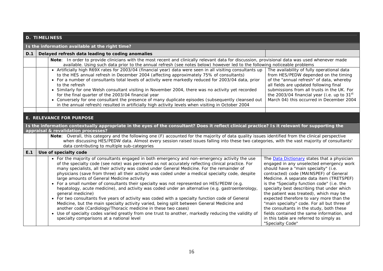|                                                                                                                                                                                                                                                                                                                                                                                | <b>D. TIMELINESS</b>                                                                                                                                                                                                                                                                                                                                                                                                                                                                                                                       |                                                                                                                                                                                                                                                                                                                                                                                                                                                                                                                                                                                                                                                                                                                                                                                                                                                                                                                                                                                                                                                                                                     |                                                                                                                                                                                                                                                                                                                                                                                                                                                                                                                                                                                                                  |  |
|--------------------------------------------------------------------------------------------------------------------------------------------------------------------------------------------------------------------------------------------------------------------------------------------------------------------------------------------------------------------------------|--------------------------------------------------------------------------------------------------------------------------------------------------------------------------------------------------------------------------------------------------------------------------------------------------------------------------------------------------------------------------------------------------------------------------------------------------------------------------------------------------------------------------------------------|-----------------------------------------------------------------------------------------------------------------------------------------------------------------------------------------------------------------------------------------------------------------------------------------------------------------------------------------------------------------------------------------------------------------------------------------------------------------------------------------------------------------------------------------------------------------------------------------------------------------------------------------------------------------------------------------------------------------------------------------------------------------------------------------------------------------------------------------------------------------------------------------------------------------------------------------------------------------------------------------------------------------------------------------------------------------------------------------------------|------------------------------------------------------------------------------------------------------------------------------------------------------------------------------------------------------------------------------------------------------------------------------------------------------------------------------------------------------------------------------------------------------------------------------------------------------------------------------------------------------------------------------------------------------------------------------------------------------------------|--|
|                                                                                                                                                                                                                                                                                                                                                                                |                                                                                                                                                                                                                                                                                                                                                                                                                                                                                                                                            | Is the information available at the right time?                                                                                                                                                                                                                                                                                                                                                                                                                                                                                                                                                                                                                                                                                                                                                                                                                                                                                                                                                                                                                                                     |                                                                                                                                                                                                                                                                                                                                                                                                                                                                                                                                                                                                                  |  |
| D.1                                                                                                                                                                                                                                                                                                                                                                            |                                                                                                                                                                                                                                                                                                                                                                                                                                                                                                                                            | Delayed refresh data leading to coding anomalies                                                                                                                                                                                                                                                                                                                                                                                                                                                                                                                                                                                                                                                                                                                                                                                                                                                                                                                                                                                                                                                    |                                                                                                                                                                                                                                                                                                                                                                                                                                                                                                                                                                                                                  |  |
|                                                                                                                                                                                                                                                                                                                                                                                |                                                                                                                                                                                                                                                                                                                                                                                                                                                                                                                                            | Note: In order to provide clinicians with the most recent and clinically relevant data for discussion, provisional data was used whenever made<br>available. Using such data prior to the annual refresh (see notes below) however led to the following noticeable problems<br>• Artificially high R69X rates for 2003/04 (financial year) data were seen in all visiting consultants up                                                                                                                                                                                                                                                                                                                                                                                                                                                                                                                                                                                                                                                                                                            | The availability of fully operational data                                                                                                                                                                                                                                                                                                                                                                                                                                                                                                                                                                       |  |
| to the HES annual refresh in December 2004 (affecting approximately 75% of consultants)<br>• For a number of consultants total levels of activity were markedly reduced for 2003/04 data, prior<br>to the refresh<br>• Similarly for one Welsh consultant visiting in November 2004, there was no activity yet recorded<br>for the final quarter of the 2003/04 financial year |                                                                                                                                                                                                                                                                                                                                                                                                                                                                                                                                            | from HES/PEDW depended on the timing<br>of the "annual refresh" of data, whereby<br>all fields are updated following final<br>submissions from all trusts in the UK. For<br>the 2003/04 financial year (i.e. up to 31 <sup>st</sup>                                                                                                                                                                                                                                                                                                                                                                                                                                                                                                                                                                                                                                                                                                                                                                                                                                                                 |                                                                                                                                                                                                                                                                                                                                                                                                                                                                                                                                                                                                                  |  |
|                                                                                                                                                                                                                                                                                                                                                                                |                                                                                                                                                                                                                                                                                                                                                                                                                                                                                                                                            | • Conversely for one consultant the presence of many duplicate episodes (subsequently cleansed out<br>in the annual refresh) resulted in artificially high activity levels when visiting in October 2004                                                                                                                                                                                                                                                                                                                                                                                                                                                                                                                                                                                                                                                                                                                                                                                                                                                                                            | March 04) this occurred in December 2004                                                                                                                                                                                                                                                                                                                                                                                                                                                                                                                                                                         |  |
|                                                                                                                                                                                                                                                                                                                                                                                |                                                                                                                                                                                                                                                                                                                                                                                                                                                                                                                                            | <b>E. RELEVANCE FOR PURPOSE</b>                                                                                                                                                                                                                                                                                                                                                                                                                                                                                                                                                                                                                                                                                                                                                                                                                                                                                                                                                                                                                                                                     |                                                                                                                                                                                                                                                                                                                                                                                                                                                                                                                                                                                                                  |  |
|                                                                                                                                                                                                                                                                                                                                                                                | Is the information contextually appropriate in the eyes of the consultant? Does it reflect clinical practice? Is it relevant for supporting the<br>appraisal & revalidation processes?<br>Note: Overall, this category and the following one (F) accounted for the majority of data quality issues identified from the clinical perspective<br>when discussing HES/PEDW data. Almost every session raised issues falling into these two categories, with the vast majority of consultants'<br>data contributing to multiple sub-categories |                                                                                                                                                                                                                                                                                                                                                                                                                                                                                                                                                                                                                                                                                                                                                                                                                                                                                                                                                                                                                                                                                                     |                                                                                                                                                                                                                                                                                                                                                                                                                                                                                                                                                                                                                  |  |
| E.1                                                                                                                                                                                                                                                                                                                                                                            |                                                                                                                                                                                                                                                                                                                                                                                                                                                                                                                                            | Use of specialty code                                                                                                                                                                                                                                                                                                                                                                                                                                                                                                                                                                                                                                                                                                                                                                                                                                                                                                                                                                                                                                                                               |                                                                                                                                                                                                                                                                                                                                                                                                                                                                                                                                                                                                                  |  |
|                                                                                                                                                                                                                                                                                                                                                                                |                                                                                                                                                                                                                                                                                                                                                                                                                                                                                                                                            | • For the majority of consultants engaged in both emergency and non-emergency activity the use<br>of the specialty code (see note) was perceived as not accurately reflecting clinical practice. For<br>many specialists, all their activity was coded under General Medicine. For the remainder of<br>physicians (save from three) all their activity was coded under a medical specialty code, despite<br>large amounts of General Medicine activity<br>• For a small number of consultants their specialty was not represented on HES/PEDW (e.g.<br>hepatology, acute medicine), and activity was coded under an alternative (e.g. gastroenterology,<br>general medicine)<br>• For two consultants five years of activity was coded with a specialty function code of General<br>Medicine, but the main specialty activity varied, being split between General Medicine and<br>another code (Cardiology/Thoracic medicine in these two cases)<br>Use of specialty codes varied greatly from one trust to another, markedly reducing the validity of<br>specialty comparisons at a national level | The Data Dictionary states that a physician<br>engaged in any unselected emergency work<br>should have a "main specialty" (i.e.<br>contracted) code (MAINSPEF) of General<br>Medicine. A separate data item (TRETSPEF)<br>is the "Specialty function code" (i.e. the<br>specialty best describing that under which<br>the patient was treated), which may be<br>expected therefore to vary more than the<br>"main specialty" code. For all but three of<br>the consultants in the study, both these<br>fields contained the same information, and<br>in this table are referred to simply as<br>"Specialty Code" |  |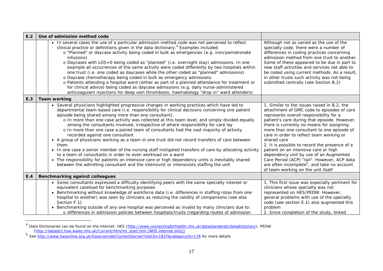| E.2 | Use of admission method code                                                                                                                                                                                                                                                                                                                                                                                                                                                                                                                                                                                                                                                                                                                                                                                                                                                                                                                                                                                                                                   |                                                                                                                                                                                                                                                                                                                                                                                                                                                                                                                                                                                                                               |
|-----|----------------------------------------------------------------------------------------------------------------------------------------------------------------------------------------------------------------------------------------------------------------------------------------------------------------------------------------------------------------------------------------------------------------------------------------------------------------------------------------------------------------------------------------------------------------------------------------------------------------------------------------------------------------------------------------------------------------------------------------------------------------------------------------------------------------------------------------------------------------------------------------------------------------------------------------------------------------------------------------------------------------------------------------------------------------|-------------------------------------------------------------------------------------------------------------------------------------------------------------------------------------------------------------------------------------------------------------------------------------------------------------------------------------------------------------------------------------------------------------------------------------------------------------------------------------------------------------------------------------------------------------------------------------------------------------------------------|
|     | • In several cases the use of a particular admission method code was not perceived to reflect<br>clinical practice or definitions given in the data dictionary. <sup>4</sup> Examples included:<br>o "Planned" or daycase activity being coded in bulk as emergencies (e.g. iron/pamidronate<br>infusions)<br>o Daycases with LOS=0 being coded as "planned" (i.e. overnight stay) admissions. In one<br>example all occurrences of the same activity were coded differently by two hospitals within<br>one trust (i.e. one coded as daycases while the other coded as "planned" admissions)<br>o Daycase chemotherapy being coded in bulk as emergency admissions<br>o Patients attending a hospital ward (either as part of a planned attendance for treatment or<br>for clinical advice) being coded as daycase admissions (e.g. daily nurse-administered<br>anticoagulant injections for deep vein thrombosis; haematology "drop in" ward attenders)                                                                                                       | Although not as varied as the use of the<br>specialty code, there were a number of<br>differences in coding practices concerning<br>admission method from one trust to another.<br>Some of these appeared to be due in part to<br>new staff activities and services not able to<br>be coded using current methods. As a result,<br>in other trusts such activity was not being<br>submitted centrally (see Section B.2)                                                                                                                                                                                                       |
| E.3 | <b>Team working</b>                                                                                                                                                                                                                                                                                                                                                                                                                                                                                                                                                                                                                                                                                                                                                                                                                                                                                                                                                                                                                                            |                                                                                                                                                                                                                                                                                                                                                                                                                                                                                                                                                                                                                               |
|     | • Several physicians highlighted progressive changes in working practices which have led to<br>departmental team-based care (i.e. responsibility for clinical decisions concerning one patient<br>episode being shared among more than one consultant).<br>o In more than one case activity was collected at this team level, and simply divided equally<br>among the consultants involved, irrespective of where responsibility for care lay<br>o In more than one case a paired team of consultants had the vast majority of activity<br>recorded against one consultant<br>• A group of physicians working as a team in one trust did not record transfers of care between<br>them<br>• In one case a senior member of the nursing staff instigated transfers of care by allocating activity<br>to a team of consultants in order to even workload on a ward<br>• The responsibility for patients on intensive care or high dependency units is inevitably shared<br>between the admitting consultant and the intensivist or intensivists staffing the unit | 1. Similar to the issues raised in B.2, the<br>attachment of GMC code to episodes of care<br>represents overall responsibility for a<br>patient's care during that episode. However,<br>there is currently no means for assigning<br>more than one consultant to one episode of<br>care in order to reflect team working or<br>shared care<br>2. It is possible to record the presence of a<br>patient on an intensive care or high<br>dependency unit by use of an Augmented<br>Care Period (ACP) "tail". However, ACP data<br>are often incomplete <sup>5</sup> , and take no account<br>of team working on the unit itself |
| E.4 | <b>Benchmarking against colleagues</b>                                                                                                                                                                                                                                                                                                                                                                                                                                                                                                                                                                                                                                                                                                                                                                                                                                                                                                                                                                                                                         |                                                                                                                                                                                                                                                                                                                                                                                                                                                                                                                                                                                                                               |
|     | • Some consultants expressed a difficulty identifying peers with the same specialty interest or<br>equivalent caseload for benchmarking purposes<br>• Benchmarking without knowledge of workforce data (i.e. differences in staffing rotas from one<br>hospital to another) was seen by clinicians as reducing the validity of comparisons (see also<br>Section F.1)<br>. Benchmarking outside of any one hospital was perceived as invalid by many clinicians due to:<br>o differences in admission policies between hospitals/trusts (regarding routes of admission                                                                                                                                                                                                                                                                                                                                                                                                                                                                                          | 1. This first issue was especially pertinent for<br>clinicians whose specialty was not<br>represented on HES/PEDW. However,<br>general problems with use of the specialty<br>code (see section E.1) also augmented this<br>problem<br>2. Since completion of the study, linked                                                                                                                                                                                                                                                                                                                                                |

<sup>&</sup>lt;sup>4</sup> Data Dictionaries can be found on the internet: HES (http://www.connectingforhealth.nhs.uk/datastandards/datadictionary); PEDW (http://datadict.hsw.wales.nhs.uk/Current/htm/hh\_start.htm [NHS internet only])

<sup>&</sup>lt;sup>5</sup> See http://www.hesonline.org.uk/Ease/servlet/ContentServer?siteID=1937&categoryID=176 for more details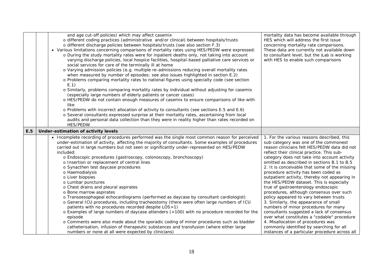|     | and age cut-off policies) which may affect casemix<br>o different coding practices (administrative and/or clinical) between hospitals/trusts<br>o different discharge policies between hospitals/trusts (see also section F.3)<br>• Various limitations concerning comparisons of mortality rates using HES/PEDW were expressed:<br>o During the study mortality rates were for inpatient deaths only, not taking into account<br>varying discharge policies, local hospice facilities, hospital-based palliative care services or<br>social services for care of the terminally ill at home<br>o Varying admission policies (e.g. multiple re-admissions reducing overall mortality rates<br>when measured by number of episodes; see also issues highlighted in section E.2)<br>o Problems comparing mortality rates to national figures using specialty code (see section<br>E.1<br>o Similarly, problems comparing mortality rates by individual without adjusting for casemix<br>(especially large numbers of elderly patients or cancer cases)<br>o HES/PEDW do not contain enough measures of casemix to ensure comparisons of like with<br>like<br>o Problems with incorrect allocation of activity to consultants (see sections E.5 and E.6)<br>o Several consultants expressed surprise at their mortality rates, ascertaining from local<br>audits and personal data collection than they were in reality higher than rates recorded on<br><b>HES/PEDW</b> | mortality data has become available through<br>HES which will address the first issue<br>concerning mortality rate comparisons.<br>These data are currently not available down<br>to consultant level, but the <i>i</i> Lab is working<br>with HES to enable such comparisons                                                                                                                                                                                                                                                                                                                                                                                                                                                                                                                                                                                                                                        |
|-----|-----------------------------------------------------------------------------------------------------------------------------------------------------------------------------------------------------------------------------------------------------------------------------------------------------------------------------------------------------------------------------------------------------------------------------------------------------------------------------------------------------------------------------------------------------------------------------------------------------------------------------------------------------------------------------------------------------------------------------------------------------------------------------------------------------------------------------------------------------------------------------------------------------------------------------------------------------------------------------------------------------------------------------------------------------------------------------------------------------------------------------------------------------------------------------------------------------------------------------------------------------------------------------------------------------------------------------------------------------------------------------------------------------------------------------------------------------------------------|----------------------------------------------------------------------------------------------------------------------------------------------------------------------------------------------------------------------------------------------------------------------------------------------------------------------------------------------------------------------------------------------------------------------------------------------------------------------------------------------------------------------------------------------------------------------------------------------------------------------------------------------------------------------------------------------------------------------------------------------------------------------------------------------------------------------------------------------------------------------------------------------------------------------|
| E.5 | Under-estimation of activity levels                                                                                                                                                                                                                                                                                                                                                                                                                                                                                                                                                                                                                                                                                                                                                                                                                                                                                                                                                                                                                                                                                                                                                                                                                                                                                                                                                                                                                                   |                                                                                                                                                                                                                                                                                                                                                                                                                                                                                                                                                                                                                                                                                                                                                                                                                                                                                                                      |
|     | • Incomplete recording of procedures performed was the single most common reason for perceived<br>under-estimation of activity, affecting the majority of consultants. Some examples of procedures<br>carried out in large numbers but not seen or significantly under-represented on HES/PEDW<br>included:<br>o Endoscopic procedures (gastroscopy, colonoscopy, bronchoscopy)<br>o Insertion or replacement of central lines<br>o Synacthen test daycase procedures<br>o Haemodialysis<br>o Liver biopsies<br>o Lumbar punctures<br>o Chest drains and pleural aspirates<br>o Bone marrow aspirates<br>o Transoesophageal echocardiograms (performed as daycase by consultant cardiologist)<br>o General ICU procedures, including tracheostomy (there were often large numbers of ICU<br>patients with no procedures recorded despite LOS>1)<br>o Examples of large numbers of daycase attenders (>100) with no procedure recorded for the<br>episode<br>o Comments were also made about the sporadic coding of minor procedures such as bladder<br>catheterisation, infusion of therapeutic substances and transfusion (where either large<br>numbers or none at all were expected by clinicians)                                                                                                                                                                                                                                                                 | 1. For the various reasons described, this<br>sub-category was one of the commonest<br>reason clinicians felt HES/PEDW data did not<br>reflect their clinical practice. This sub-<br>category does not take into account activity<br>omitted as described in sections B.1 to B.5<br>2. It is conceivable that some of the missing<br>procedure activity has been coded as<br>outpatient activity, thereby not appearing in<br>the HES/PEDW dataset. This is especially<br>true of gastroenterology endoscopic<br>procedures, although consensus over such<br>policy appeared to vary between trusts<br>3. Similarly, the appearance of small<br>numbers of minor procedures for many<br>consultants suggested a lack of consensus<br>over what constitutes a "codable" procedure<br>4. Misallocation of procedures was<br>commonly identified by searching for all<br>instances of a particular procedure across all |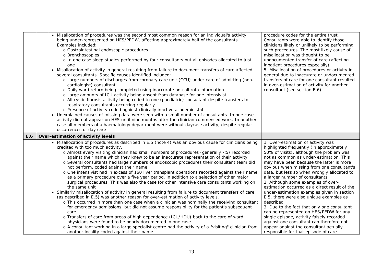|     | • Misallocation of procedures was the second most common reason for an individual's activity<br>being under-represented on HES/PEDW, affecting approximately half of the consultants.<br>Examples included:<br>o Gastrointestinal endoscopic procedures<br>o Bronchoscopies<br>o In one case sleep studies performed by four consultants but all episodes allocated to just<br>one<br>• Misallocation of activity in general resulting from failure to document transfers of care affected<br>several consultants. Specific causes identified included:<br>o Large numbers of discharges from coronary care unit (CCU) under care of admitting (non-<br>cardiologist) consultant<br>o Daily ward return being completed using inaccurate on-call rota information<br>o Large amounts of ICU activity being absent from database for one intensivist<br>o All cystic fibrosis activity being coded to one (paediatric) consultant despite transfers to<br>respiratory consultants occurring regularly<br>o Presence of activity coded against clinically inactive academic staff<br>• Unexplained causes of missing data were seen with a small number of consultants. In one case<br>activity did not appear on HES until nine months after the clinician commenced work. In another<br>case all members of a haematology department were without daycase activity, despite regular<br>occurrences of day care                                                                                    | procedure codes for the entire trust.<br>Consultants were able to identify those<br>clinicians likely or unlikely to be performing<br>such procedures. The most likely cause of<br>misallocation was thought to be<br>undocumented transfer of care (affecting<br>inpatient procedures especially)<br>5. Misallocation of procedures or activity in<br>general due to inaccurate or undocumented<br>transfers of care for one consultant resulted<br>in over-estimation of activity for another<br>consultant (see section E.6)                                                                                                                                                                                                                                                                                    |
|-----|---------------------------------------------------------------------------------------------------------------------------------------------------------------------------------------------------------------------------------------------------------------------------------------------------------------------------------------------------------------------------------------------------------------------------------------------------------------------------------------------------------------------------------------------------------------------------------------------------------------------------------------------------------------------------------------------------------------------------------------------------------------------------------------------------------------------------------------------------------------------------------------------------------------------------------------------------------------------------------------------------------------------------------------------------------------------------------------------------------------------------------------------------------------------------------------------------------------------------------------------------------------------------------------------------------------------------------------------------------------------------------------------------------------------------------------------------------------------------------------------------|--------------------------------------------------------------------------------------------------------------------------------------------------------------------------------------------------------------------------------------------------------------------------------------------------------------------------------------------------------------------------------------------------------------------------------------------------------------------------------------------------------------------------------------------------------------------------------------------------------------------------------------------------------------------------------------------------------------------------------------------------------------------------------------------------------------------|
| E.6 | Over-estimation of activity levels                                                                                                                                                                                                                                                                                                                                                                                                                                                                                                                                                                                                                                                                                                                                                                                                                                                                                                                                                                                                                                                                                                                                                                                                                                                                                                                                                                                                                                                                |                                                                                                                                                                                                                                                                                                                                                                                                                                                                                                                                                                                                                                                                                                                                                                                                                    |
|     | • Misallocation of procedures as described in E.5 (note 4) was an obvious cause for clinicians being<br>credited with too much activity.<br>o Almost every visiting clinician had small numbers of procedures (generally <5) recorded<br>against their name which they knew to be an inaccurate representation of their activity<br>o Several consultants had large numbers of endoscopic procedures their consultant team did<br>not perform, coded against their name<br>o One intensivist had in excess of 160 liver transplant operations recorded against their name<br>as a primary procedure over a five year period, in addition to a selection of other major<br>surgical procedures. This was also the case for other intensive care consultants working on<br>the same unit<br>• Similarly misallocation of activity in general resulting from failure to document transfers of care<br>(as described in E.5) was another reason for over-estimation of activity levels.<br>o This occurred in more than one case when a clinician was nominally the receiving consultant<br>for emergency admissions, but did not assume responsibility for the patient's subsequent<br>care<br>o Transfers of care from areas of high dependence (ICU/HDU) back to the care of ward<br>physicians were found to be poorly documented in one case<br>o A consultant working in a large specialist centre had the activity of a "visiting" clinician from<br>another locality coded against their name | 1. Over-estimation of activity was<br>highlighted frequently (in approximately<br>50% of visits), although the problem was<br>not as common as under-estimation. This<br>may have been because the latter is more<br>obvious when missing from one consultant's<br>data, but less so when wrongly allocated to<br>a larger number of consultants.<br>2. Although some examples of over-<br>estimation occurred as a direct result of the<br>under-estimation examples given in section<br>E.5, there were also unique examples as<br>described<br>3. Due to the fact that only one consultant<br>can be represented on HES/PEDW for any<br>single episode, activity falsely recorded<br>against one consultant can therefore not<br>appear against the consultant actually<br>responsible for that episode of care |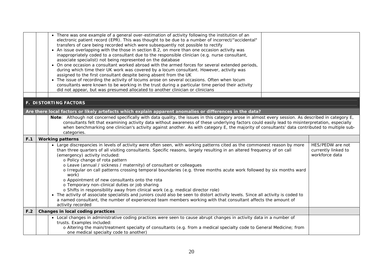|     | • There was one example of a general over-estimation of activity following the institution of an<br>electronic patient record (EPR). This was thought to be due to a number of incorrect/"accidental"<br>transfers of care being recorded which were subsequently not possible to rectify<br>• An issue overlapping with the those in section B.2, on more than one occasion activity was<br>inappropriately coded to a consultant due to the responsible clinician (e.g. nurse consultant,<br>associate specialist) not being represented on the database<br>. On one occasion a consultant worked abroad with the armed forces for several extended periods,<br>during which time their UK work was covered by a locum consultant. However, activity was                                                                                                                                                                                                                                        |                                                           |
|-----|---------------------------------------------------------------------------------------------------------------------------------------------------------------------------------------------------------------------------------------------------------------------------------------------------------------------------------------------------------------------------------------------------------------------------------------------------------------------------------------------------------------------------------------------------------------------------------------------------------------------------------------------------------------------------------------------------------------------------------------------------------------------------------------------------------------------------------------------------------------------------------------------------------------------------------------------------------------------------------------------------|-----------------------------------------------------------|
|     | assigned to the first consultant despite being absent from the UK<br>• The issue of recording the activity of locums arose on several occasions. Often when locum<br>consultants were known to be working in the trust during a particular time period their activity<br>did not appear, but was presumed allocated to another clinician or clinicians                                                                                                                                                                                                                                                                                                                                                                                                                                                                                                                                                                                                                                            |                                                           |
|     |                                                                                                                                                                                                                                                                                                                                                                                                                                                                                                                                                                                                                                                                                                                                                                                                                                                                                                                                                                                                   |                                                           |
|     | <b>F. DISTORTING FACTORS</b>                                                                                                                                                                                                                                                                                                                                                                                                                                                                                                                                                                                                                                                                                                                                                                                                                                                                                                                                                                      |                                                           |
|     | Are there local factors or likely artefacts which explain apparent anomalies or differences in the data?                                                                                                                                                                                                                                                                                                                                                                                                                                                                                                                                                                                                                                                                                                                                                                                                                                                                                          |                                                           |
|     | Note: Although not concerned specifically with data quality, the issues in this category arose in almost every session. As described in category E,<br>consultants felt that examining activity data without awareness of these underlying factors could easily lead to misinterpretation, especially<br>when benchmarking one clinician's activity against another. As with category E, the majority of consultants' data contributed to multiple sub-<br>categories.                                                                                                                                                                                                                                                                                                                                                                                                                                                                                                                            |                                                           |
| F.1 | <b>Working patterns</b>                                                                                                                                                                                                                                                                                                                                                                                                                                                                                                                                                                                                                                                                                                                                                                                                                                                                                                                                                                           |                                                           |
|     | • Large discrepancies in levels of activity were often seen, with working patterns cited as the commonest reason by more<br>than three quarters of all visiting consultants. Specific reasons, largely resulting in an altered frequency of on call<br>(emergency) activity included:<br>o Policy change of rota pattern<br>o Leave (annual / sickness / maternity) of consultant or colleagues<br>o Irregular on call patterns crossing temporal boundaries (e.g. three months acute work followed by six months ward<br>work)<br>o Appointment of new consultants onto the rota<br>o Temporary non-clinical duties or job sharing<br>o Shifts in responsibility away from clinical work (e.g. medical director role)<br>• The activity of associate specialists and juniors could also be seen to distort activity levels. Since all activity is coded to<br>a named consultant, the number of experienced team members working with that consultant affects the amount of<br>activity recorded | HES/PEDW are not<br>currently linked to<br>workforce data |
| F.2 | <b>Changes in local coding practices</b>                                                                                                                                                                                                                                                                                                                                                                                                                                                                                                                                                                                                                                                                                                                                                                                                                                                                                                                                                          |                                                           |
|     | • Local changes in administrative coding practices were seen to cause abrupt changes in activity data in a number of<br>trusts. Examples included:<br>o Altering the main/treatment specialty of consultants (e.g. from a medical specialty code to General Medicine; from<br>one medical specialty code to another)                                                                                                                                                                                                                                                                                                                                                                                                                                                                                                                                                                                                                                                                              |                                                           |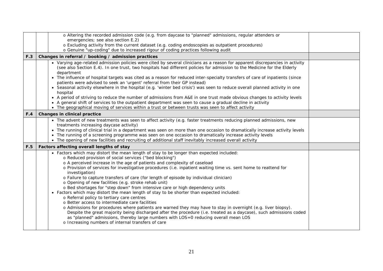|     | o Altering the recorded admission code (e.g. from daycase to "planned" admissions, regular attenders or                                                                                                                                                                                                                                                                                                                                                                                                                                                                                                                                                                                                                                                                                                                                                                                                                                                                                                                                                                                                                                                                                  |  |
|-----|------------------------------------------------------------------------------------------------------------------------------------------------------------------------------------------------------------------------------------------------------------------------------------------------------------------------------------------------------------------------------------------------------------------------------------------------------------------------------------------------------------------------------------------------------------------------------------------------------------------------------------------------------------------------------------------------------------------------------------------------------------------------------------------------------------------------------------------------------------------------------------------------------------------------------------------------------------------------------------------------------------------------------------------------------------------------------------------------------------------------------------------------------------------------------------------|--|
|     | emergencies; see also section E.2)<br>o Excluding activity from the current dataset (e.g. coding endoscopies as outpatient procedures)                                                                                                                                                                                                                                                                                                                                                                                                                                                                                                                                                                                                                                                                                                                                                                                                                                                                                                                                                                                                                                                   |  |
|     | o Genuine "up-coding" due to increased rigour of coding practices following audit                                                                                                                                                                                                                                                                                                                                                                                                                                                                                                                                                                                                                                                                                                                                                                                                                                                                                                                                                                                                                                                                                                        |  |
| F.3 | Changes in referral / booking / admission practices                                                                                                                                                                                                                                                                                                                                                                                                                                                                                                                                                                                                                                                                                                                                                                                                                                                                                                                                                                                                                                                                                                                                      |  |
|     | • Varying age-related admission policies were cited by several clinicians as a reason for apparent discrepancies in activity<br>(see also Section E.4). In one trust, two hospitals had different policies for admission to the Medicine for the Elderly<br>department<br>• The influence of hospital targets was cited as a reason for reduced inter-specialty transfers of care of inpatients (since<br>patients were advised to seek an 'urgent' referral from their GP instead)<br>• Seasonal activity elsewhere in the hospital (e.g. 'winter bed crisis') was seen to reduce overall planned activity in one<br>hospital<br>• A period of striving to reduce the number of admissions from A&E in one trust made obvious changes to activity levels<br>• A general shift of services to the outpatient department was seen to cause a gradual decline in activity<br>• The geographical moving of services within a trust or between trusts was seen to affect activity                                                                                                                                                                                                            |  |
| F.4 | Changes in clinical practice                                                                                                                                                                                                                                                                                                                                                                                                                                                                                                                                                                                                                                                                                                                                                                                                                                                                                                                                                                                                                                                                                                                                                             |  |
|     | • The advent of new treatments was seen to affect activity (e.g. faster treatments reducing planned admissions, new<br>treatments increasing daycase activity)<br>• The running of clinical trial in a department was seen on more than one occasion to dramatically increase activity levels<br>• The running of a screening programme was seen on one occasion to dramatically increase activity levels<br>• The opening of new facilities and recruiting of additional staff inevitably increased overall activity                                                                                                                                                                                                                                                                                                                                                                                                                                                                                                                                                                                                                                                                    |  |
| F.5 | Factors affecting overall lengths of stay                                                                                                                                                                                                                                                                                                                                                                                                                                                                                                                                                                                                                                                                                                                                                                                                                                                                                                                                                                                                                                                                                                                                                |  |
|     | • Factors which may distort the mean length of stay to be longer than expected included:<br>o Reduced provision of social services ("bed blocking")<br>o A perceived increase in the age of patients and complexity of caseload<br>o Provision of services for investigative procedures (i.e. inpatient waiting time vs. sent home to reattend for<br>investigation)<br>o Failure to capture transfers of care (for length of episode by individual clinician)<br>o Opening of new facilities (e.g. stroke rehab unit)<br>o Bed shortages for "step down" from intensive care or high dependency units<br>• Factors which may distort the mean length of stay to be shorter than expected included:<br>o Referral policy to tertiary care centres<br>o Better access to intermediate care facilities<br>o Admissions for procedures where patients are warned they may have to stay in overnight (e.g. liver biopsy).<br>Despite the great majority being discharged after the procedure (i.e. treated as a daycase), such admissions coded<br>as "planned" admissions, thereby large numbers with LOS=0 reducing overall mean LOS<br>o Increasing numbers of internal transfers of care |  |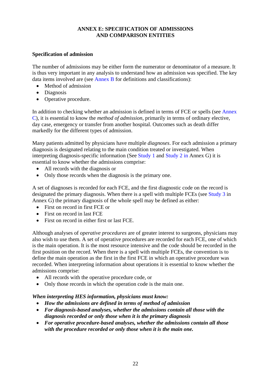#### **ANNEX E: SPECIFICATION OF ADMISSIONS AND COMPARISON ENTITIES**

#### <span id="page-21-0"></span>**Specification of admission**

The number of admissions may be either form the numerator or denominator of a measure. It is thus very important in any analysis to understand how an admission was specified. The key data items involved are (see [Annex B f](#page-6-0)or definitions and classifications):

- Method of admission
- Diagnosis
- Operative procedure.

In addition to checking whether an admission is defined in terms of FCE or spells (see [Annex](#page-9-0)  [C\),](#page-9-0) it is essential to know the *method of admission*, primarily in terms of ordinary elective, day case, emergency or transfer from another hospital. Outcomes such as death differ markedly for the different types of admission.

Many patients admitted by physicians have multiple *diagnoses*. For each admission a primary diagnosis is designated relating to the main condition treated or investigated. When interpreting diagnosis-specific information (Se[e Study 1 a](#page-27-0)nd [Study 2 i](#page-28-0)n Annex G) it is essential to know whether the admissions comprise:

- All records with the diagnosis or
- Only those records when the diagnosis is the primary one.

A set of diagnoses is recorded for each FCE, and the first diagnostic code on the record is designated the primary diagnosis. When there is a spell with multiple FCEs (se[e Study 3 i](#page-29-0)n Annex G) the primary diagnosis of the whole spell may be defined as either:

- First on record in first FCE or
- First on record in last FCE
- First on record in either first or last FCE.

Although analyses of *operative procedures* are of greater interest to surgeons, physicians may also wish to use them. A set of operative procedures are recorded for each FCE, one of which is the main operation. It is the most resource intensive and the code should be recorded in the first position on the record. When there is a spell with multiple FCEs, the convention is to define the main operation as the first in the first FCE in which an operative procedure was recorded. When interpreting information about operations it is essential to know whether the admissions comprise:

- All records with the operative procedure code, or
- Only those records in which the operation code is the main one.

#### *When interpreting HES information, physicians must know:*

- *How the admissions are defined in terms of method of admission*
- *For diagnosis-based analyses, whether the admissions contain all those with the diagnosis recorded or only those when it is the primary diagnosis*
- *For operative procedure-based analyses, whether the admissions contain all those with the procedure recorded or only those when it is the main one.*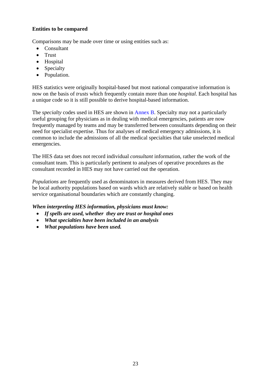#### **Entities to be compared**

Comparisons may be made over time or using entities such as:

- Consultant
- Trust
- Hospital
- Specialty
- Population.

HES statistics were originally hospital-based but most national comparative information is now on the basis of *trusts* which frequently contain more than one *hospital*. Each hospital has a unique code so it is still possible to derive hospital-based information.

The *specialty* codes used in HES are shown i[n Annex B.](#page-6-0) Specialty may not a particularly useful grouping for physicians as in dealing with medical emergencies, patients are now frequently managed by teams and may be transferred between consultants depending on their need for specialist expertise. Thus for analyses of medical emergency admissions, it is common to include the admissions of all the medical specialties that take unselected medical emergencies.

The HES data set does not record individual *consultant* information, rather the work of the consultant team. This is particularly pertinent to analyses of operative procedures as the consultant recorded in HES may not have carried out the operation.

*Populations* are frequently used as denominators in measures derived from HES. They may be local authority populations based on wards which are relatively stable or based on health service organisational boundaries which are constantly changing.

## *When interpreting HES information, physicians must know:*

- *If spells are used, whether they are trust or hospital ones*
- *What specialties have been included in an analysis*
- *What populations have been used.*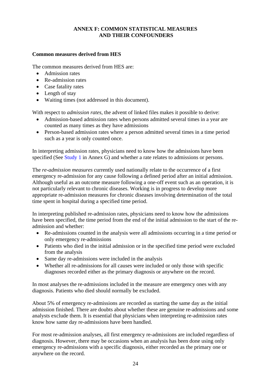# **ANNEX F: COMMON STATISTICAL MEASURES AND THEIR CONFOUNDERS**

# <span id="page-23-0"></span>**Common measures derived from HES**

The common measures derived from HES are:

- Admission rates
- Re-admission rates
- Case fatality rates
- Length of stay
- Waiting times (not addressed in this document).

With respect to *admission rates*, the advent of linked files makes it possible to derive:

- Admission-based admission rates when persons admitted several times in a year are counted as many times as they have admissions
- Person-based admission rates where a person admitted several times in a time period such as a year is only counted once.

In interpreting admission rates, physicians need to know how the admissions have been specified (See [Study 1 i](#page-27-0)n Annex G) and whether a rate relates to admissions or persons.

The *re-admission measures* currently used nationally relate to the occurrence of a first emergency re-admission for any cause following a defined period after an initial admission. Although useful as an outcome measure following a one-off event such as an operation, it is not particularly relevant to chronic diseases. Working is in progress to develop more appropriate re-admission measures for chronic diseases involving determination of the total time spent in hospital during a specified time period.

In interpreting published re-admission rates, physicians need to know how the admissions have been specified, the time period from the end of the initial admission to the start of the readmission and whether:

- Re-admissions counted in the analysis were all admissions occurring in a time period or only emergency re-admissions
- Patients who died in the initial admission or in the specified time period were excluded from the analysis
- Same day re-admissions were included in the analysis
- Whether all re-admissions for all causes were included or only those with specific diagnoses recorded either as the primary diagnosis or anywhere on the record.

In most analyses the re-admissions included in the measure are emergency ones with any diagnosis. Patients who died should normally be excluded.

About 5% of emergency re-admissions are recorded as starting the same day as the initial admission finished. There are doubts about whether these are genuine re-admissions and some analysts exclude them. It is essential that physicians when interpreting re-admission rates know how same day re-admissions have been handled.

For most re-admission analyses, all first emergency re-admissions are included regardless of diagnosis. However, there may be occasions when an analysis has been done using only emergency re-admissions with a specific diagnosis, either recorded as the primary one or anywhere on the record.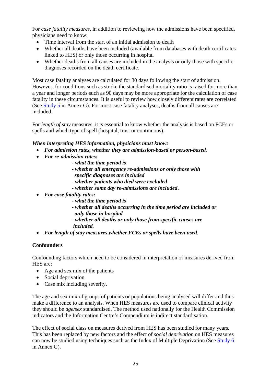For *case fatality measures*, in addition to reviewing how the admissions have been specified, physicians need to know:

- Time interval from the start of an initial admission to death
- Whether all deaths have been included (available from databases with death certificates linked to HES) or only those occurring in hospital
- Whether deaths from all causes are included in the analysis or only those with specific diagnoses recorded on the death certificate.

Most case fatality analyses are calculated for 30 days following the start of admission. However, for conditions such as stroke the standardised mortality ratio is raised for more than a year and longer periods such as 90 days may be more appropriate for the calculation of case fatality in these circumstances. It is useful to review how closely different rates are correlated (Se[e Study 5 in](#page-31-0) Annex G). For most case fatality analyses, deaths from all causes are included.

For *length of stay* measures, it is essential to know whether the analysis is based on FCEs or spells and which type of spell (hospital, trust or continuous).

## *When interpreting HES information, physicians must know:*

- *For admission rates, whether they are admission-based or person-based.*
- *For re-admission rates:*
	- *what the time period is*
	- *whether all emergency re-admissions or only those with specific diagnoses are included*
	- *whether patients who died were excluded*
	- *whether same day re-admissions are included***.**
- *For case fatality rates:*
	- *what the time period is*
	- *whether all deaths occurring in the time period are included or only those in hospital*
	- *whether all deaths or only those from specific causes are included.*
- *For length of stay measures whether FCEs or spells have been used.*

#### **Confounders**

Confounding factors which need to be considered in interpretation of measures derived from HES are:

- Age and sex mix of the patients
- Social deprivation
- Case mix including severity.

The age and sex mix of groups of patients or populations being analysed will differ and thus make a difference to an analysis. When HES measures are used to compare clinical activity they should be *age/sex* standardised. The method used nationally for the Health Commission indicators and the Information Centre's Compendium is indirect standardisation.

The effect of social class on measures derived from HES has been studied for many years. This has been replaced by new factors and the effect of *social deprivation* on HES measures can now be studied using techniques such as the Index of Multiple Deprivation (See [Study 6](#page-33-0)  in Annex G).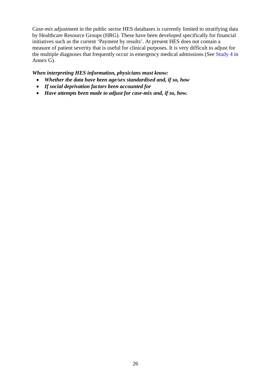*Case-mix* adjustment in the public sector HES databases is currently limited to stratifying data by Healthcare Resource Groups (HRG). These have been developed specifically for financial initiatives such as the current 'Payment by results'. At present HES does not contain a measure of patient severity that is useful for clinical purposes. It is very difficult to adjust for the multiple diagnoses that frequently occur in emergency medical admissions (Se[e Study 4 i](#page-30-0)n Annex G).

## *When interpreting HES information, physicians must know:*

- *Whether the data have been age/sex standardised and, if so, how*
- *If social deprivation factors been accounted for*
- *Have attempts been made to adjust for case-mix and, if so, how.*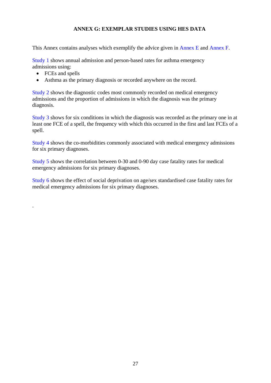# **ANNEX G: EXEMPLAR STUDIES USING HES DATA**

<span id="page-26-0"></span>This Annex contains analyses which exemplify the advice given i[n Annex E a](#page-21-0)nd [Annex F.](#page-23-0) 

[Study 1 sh](#page-27-0)ows annual admission and person-based rates for asthma emergency admissions using:

• FCEs and spells

.

• Asthma as the primary diagnosis or recorded anywhere on the record.

[Study 2 sh](#page-28-0)ows the diagnostic codes most commonly recorded on medical emergency admissions and the proportion of admissions in which the diagnosis was the primary diagnosis.

[Study 3 sh](#page-29-0)ows for six conditions in which the diagnosis was recorded as the primary one in at least one FCE of a spell, the frequency with which this occurred in the first and last FCEs of a spell.

[Study 4 sh](#page-30-0)ows the co-morbidities commonly associated with medical emergency admissions for six primary diagnoses.

[Study 5 s](#page-31-0)hows the correlation between 0-30 and 0-90 day case fatality rates for medical emergency admissions for six primary diagnoses.

[Study 6 s](#page-33-0)hows the effect of social deprivation on age/sex standardised case fatality rates for medical emergency admissions for six primary diagnoses.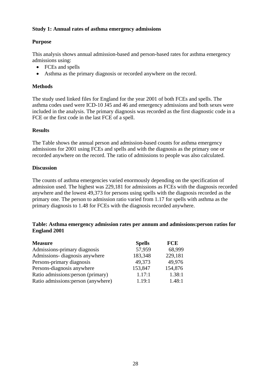#### <span id="page-27-0"></span>**Study 1: Annual rates of asthma emergency admissions**

## **Purpose**

This analysis shows annual admission-based and person-based rates for asthma emergency admissions using:

- FCEs and spells
- Asthma as the primary diagnosis or recorded anywhere on the record.

#### **Methods**

The study used linked files for England for the year 2001 of both FCEs and spells. The asthma codes used were ICD-10 J45 and 46 and emergency admissions and both sexes were included in the analysis. The primary diagnosis was recorded as the first diagnostic code in a FCE or the first code in the last FCE of a spell.

#### **Results**

The Table shows the annual person and admission-based counts for asthma emergency admissions for 2001 using FCEs and spells and with the diagnosis as the primary one or recorded anywhere on the record. The ratio of admissions to people was also calculated.

#### **Discussion**

The counts of asthma emergencies varied enormously depending on the specification of admission used. The highest was 229,181 for admissions as FCEs with the diagnosis recorded anywhere and the lowest 49,373 for persons using spells with the diagnosis recorded as the primary one. The person to admission ratio varied from 1.17 for spells with asthma as the primary diagnosis to 1.48 for FCEs with the diagnosis recorded anywhere.

#### **Table: Asthma emergency admission rates per annum and admissions:person ratios for England 2001**

| <b>Measure</b>                      | <b>Spells</b> | <b>FCE</b> |
|-------------------------------------|---------------|------------|
| Admissions-primary diagnosis        | 57,959        | 68,999     |
| Admissions- diagnosis anywhere      | 183,348       | 229,181    |
| Persons-primary diagnosis           | 49,373        | 49,976     |
| Persons-diagnosis anywhere          | 153,847       | 154,876    |
| Ratio admissions: person (primary)  | 1.17:1        | 1.38:1     |
| Ratio admissions: person (anywhere) | 1.19:1        | 1.48:1     |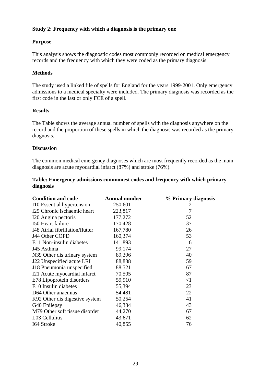## <span id="page-28-0"></span>**Study 2: Frequency with which a diagnosis is the primary one**

#### **Purpose**

This analysis shows the diagnostic codes most commonly recorded on medical emergency records and the frequency with which they were coded as the primary diagnosis.

#### **Methods**

The study used a linked file of spells for England for the years 1999-2001. Only emergency admissions to a medical specialty were included. The primary diagnosis was recorded as the first code in the last or only FCE of a spell.

#### **Results**

The Table shows the average annual number of spells with the diagnosis anywhere on the record and the proportion of these spells in which the diagnosis was recorded as the primary diagnosis.

#### **Discussion**

The common medical emergency diagnoses which are most frequently recorded as the main diagnosis are acute myocardial infarct (87%) and stroke (76%).

#### **Table: Emergency admissions commonest codes and frequency with which primary diagnosis**

| <b>Condition and code</b>       | <b>Annual number</b> | % Primary diagnosis |
|---------------------------------|----------------------|---------------------|
| I 10 Essential hypertension     | 250,601              | 2                   |
| I25 Chronic ischaemic heart     | 223,817              | 7                   |
| I20 Angina pectoris             | 177,272              | 52                  |
| 150 Heart failure               | 170,428              | 37                  |
| I48 Atrial fibrillation/flutter | 167,780              | 26                  |
| J44 Other COPD                  | 160,374              | 53                  |
| E11 Non-insulin diabetes        | 141,893              | 6                   |
| J45 Asthma                      | 99,174               | 27                  |
| N39 Other dis urinary system    | 89,396               | 40                  |
| J22 Unspecified acute LRI       | 88,838               | 59                  |
| J18 Pneumonia unspecified       | 88,521               | 67                  |
| I21 Acute myocardial infarct    | 70,505               | 87                  |
| E78 Lipoprotein disorders       | 59,910               | $<$ 1               |
| E10 Insulin diabetes            | 55,394               | 23                  |
| D64 Other anaemias              | 54,481               | 22                  |
| K92 Other dis digestive system  | 50,254               | 41                  |
| G40 Epilepsy                    | 46,334               | 43                  |
| M79 Other soft tissue disorder  | 44,270               | 67                  |
| L03 Cellulitis                  | 43,671               | 62                  |
| 164 Stroke                      | 40,855               | 76                  |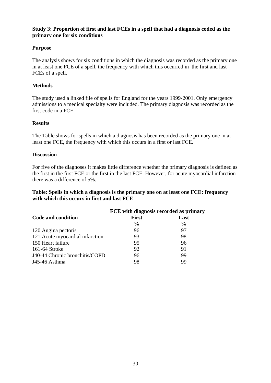#### <span id="page-29-0"></span>**Study 3: Proportion of first and last FCEs in a spell that had a diagnosis coded as the primary one for six conditions**

# **Purpose**

The analysis shows for six conditions in which the diagnosis was recorded as the primary one in at least one FCE of a spell, the frequency with which this occurred in the first and last FCEs of a spell.

#### **Methods**

The study used a linked file of spells for England for the years 1999-2001. Only emergency admissions to a medical specialty were included. The primary diagnosis was recorded as the first code in a FCE.

#### **Results**

The Table shows for spells in which a diagnosis has been recorded as the primary one in at least one FCE, the frequency with which this occurs in a first or last FCE.

#### **Discussion**

For five of the diagnoses it makes little difference whether the primary diagnosis is defined as the first in the first FCE or the first in the last FCE. However, for acute myocardial infarction there was a difference of 5%.

#### **Table: Spells in which a diagnosis is the primary one on at least one FCE: frequency with which this occurs in first and last FCE**

|                                 | FCE with diagnosis recorded as primary |               |  |  |
|---------------------------------|----------------------------------------|---------------|--|--|
| Code and condition              | <b>First</b>                           | Last          |  |  |
|                                 | $\frac{0}{0}$                          | $\frac{0}{0}$ |  |  |
| 120 Angina pectoris             | 96                                     | 97            |  |  |
| 121 Acute myocardial infarction | 93                                     | 98            |  |  |
| 150 Heart failure               | 95                                     | 96            |  |  |
| 161-64 Stroke                   | 92                                     | 91            |  |  |
| J40-44 Chronic bronchitis/COPD  | 96                                     | 99            |  |  |
| J45-46 Asthma                   | 98                                     | 99            |  |  |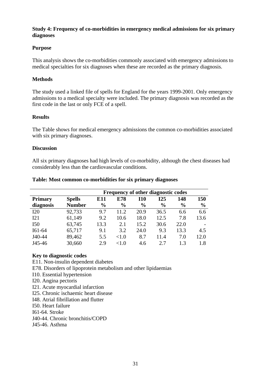#### <span id="page-30-0"></span>**Study 4: Frequency of co-morbidities in emergency medical admissions for six primary diagnoses**

#### **Purpose**

This analysis shows the co-morbidities commonly associated with emergency admissions to medical specialties for six diagnoses when these are recorded as the primary diagnosis.

#### **Methods**

The study used a linked file of spells for England for the years 1999-2001. Only emergency admissions to a medical specialty were included. The primary diagnosis was recorded as the first code in the last or only FCE of a spell.

#### **Results**

The Table shows for medical emergency admissions the common co-morbidities associated with six primary diagnoses.

#### **Discussion**

All six primary diagnoses had high levels of co-morbidity, although the chest diseases had considerably less than the cardiovascular conditions.

#### **Table: Most common co-morbidities for six primary diagnoses**

|                | <b>Frequency of other diagnostic codes</b> |               |               |               |               |               |               |
|----------------|--------------------------------------------|---------------|---------------|---------------|---------------|---------------|---------------|
| <b>Primary</b> | <b>Spells</b>                              | E11           | E78           | <b>I10</b>    | I25           | 148           | 150           |
| diagnosis      | <b>Number</b>                              | $\frac{6}{6}$ | $\frac{6}{6}$ | $\frac{6}{9}$ | $\frac{6}{9}$ | $\frac{6}{6}$ | $\frac{0}{0}$ |
| <b>I20</b>     | 92,733                                     | 9.7           | 11.2          | 20.9          | 36.5          | 6.6           | 6.6           |
| I21            | 61,149                                     | 9.2           | 10.6          | 18.0          | 12.5          | 7.8           | 13.6          |
| I50            | 63,745                                     | 13.3          | 2.1           | 15.2          | 30.6          | 22.0          |               |
| I61-64         | 65,717                                     | 9.1           | 3.2           | 24.0          | 9.3           | 13.3          | 4.5           |
| J40-44         | 89,462                                     | 5.5           | <1.0          | 8.7           | 11.4          | 7.0           | 12.0          |
| J45-46         | 30,660                                     | 2.9           | ${<}1.0$      | 4.6           | 2.7           | 13            | 1.8           |

#### **Key to diagnostic codes**

E11. Non-insulin dependent diabetes

E78. Disorders of lipoprotein metabolism and other lipidaemias

I10. Essential hypertension

I20. Angina pectoris

I21. Acute myocardial infarction

I25. Chronic ischaemic heart disease

I48. Atrial fibrillation and flutter

I50. Heart failure

I61-64. Stroke

J40-44. Chronic bronchitis/COPD

J45-46. Asthma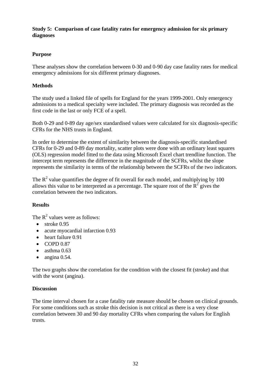#### <span id="page-31-0"></span>**Study 5: Comparison of case fatality rates for emergency admission for six primary diagnoses**

# **Purpose**

These analyses show the correlation between 0-30 and 0-90 day case fatality rates for medical emergency admissions for six different primary diagnoses.

# **Methods**

The study used a linked file of spells for England for the years 1999-2001. Only emergency admissions to a medical specialty were included. The primary diagnosis was recorded as the first code in the last or only FCE of a spell.

Both 0-29 and 0-89 day age/sex standardised values were calculated for six diagnosis-specific CFRs for the NHS trusts in England.

In order to determine the extent of similarity between the diagnosis-specific standardised CFRs for 0-29 and 0-89 day mortality, scatter plots were done with an ordinary least squares (OLS) regression model fitted to the data using Microsoft Excel chart trendline function. The intercept term represents the difference in the magnitude of the SCFRs, whilst the slope represents the similarity in terms of the relationship between the SCFRs of the two indicators.

The  $R^2$  value quantifies the degree of fit overall for each model, and multiplying by 100 allows this value to be interpreted as a percentage. The square root of the  $\overline{R}^2$  gives the correlation between the two indicators.

## **Results**

The  $R^2$  values were as follows:

- $\bullet$  stroke 0.95
- acute myocardial infarction 0.93
- heart failure 0.91
- $\bullet$  COPD 0.87
- $\bullet$  asthma 0.63
- $\bullet$  angina 0.54.

The two graphs show the correlation for the condition with the closest fit (stroke) and that with the worst (angina).

## **Discussion**

The time interval chosen for a case fatality rate measure should be chosen on clinical grounds. For some conditions such as stroke this decision is not critical as there is a very close correlation between 30 and 90 day mortality CFRs when comparing the values for English trusts.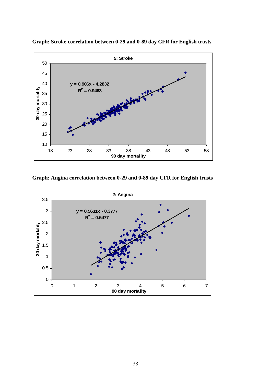

**Graph: Stroke correlation between 0-29 and 0-89 day CFR for English trusts** 

**Graph: Angina correlation between 0-29 and 0-89 day CFR for English trusts** 

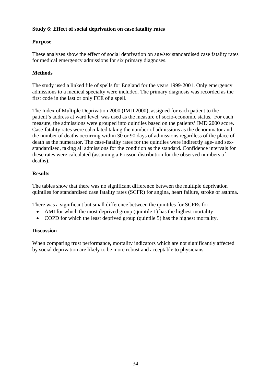# <span id="page-33-0"></span>**Study 6: Effect of social deprivation on case fatality rates**

# **Purpose**

These analyses show the effect of social deprivation on age/sex standardised case fatality rates for medical emergency admissions for six primary diagnoses.

# **Methods**

The study used a linked file of spells for England for the years 1999-2001. Only emergency admissions to a medical specialty were included. The primary diagnosis was recorded as the first code in the last or only FCE of a spell.

The Index of Multiple Deprivation 2000 (IMD 2000), assigned for each patient to the patient's address at ward level, was used as the measure of socio-economic status. For each measure, the admissions were grouped into quintiles based on the patients' IMD 2000 score. Case-fatality rates were calculated taking the number of admissions as the denominator and the number of deaths occurring within 30 or 90 days of admissions regardless of the place of death as the numerator. The case-fatality rates for the quintiles were indirectly age- and sexstandardised, taking all admissions for the condition as the standard. Confidence intervals for these rates were calculated (assuming a Poisson distribution for the observed numbers of deaths).

# **Results**

The tables show that there was no significant difference between the multiple deprivation quintiles for standardised case fatality rates (SCFR) for angina, heart failure, stroke or asthma.

There was a significant but small difference between the quintiles for SCFRs for:

- AMI for which the most deprived group (quintile 1) has the highest mortality
- COPD for which the least deprived group (quintile 5) has the highest mortality.

# **Discussion**

When comparing trust performance, mortality indicators which are not significantly affected by social deprivation are likely to be more robust and acceptable to physicians.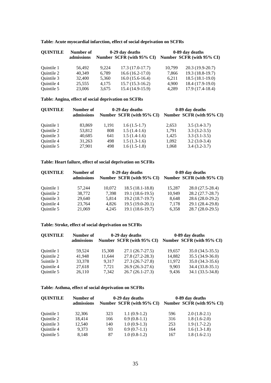| Table: Acute myocardial infarction, effect of social deprivation on SCFRs |  |  |  |  |  |
|---------------------------------------------------------------------------|--|--|--|--|--|
|---------------------------------------------------------------------------|--|--|--|--|--|

| <b>QUINTILE</b> | Number of  | 0-29 day deaths |                           | 0-89 day deaths |                           |  |
|-----------------|------------|-----------------|---------------------------|-----------------|---------------------------|--|
|                 | admissions |                 | Number SCFR (with 95% CI) |                 | Number SCFR (with 95% CI) |  |
| Ouintile 1      | 56.492     | 9.224           | $17.3(17.0-17.7)$         | 10,799          | $20.3(19.9-20.7)$         |  |
| Quintile 2      | 40.349     | 6.789           | $16.6(16.2-17.0)$         | 7,866           | $19.3(18.8-19.7)$         |  |
| Quintile 3      | 32,400     | 5,360           | $16.0(15.6-16.4)$         | 6,211           | $18.5(18.1-19.0)$         |  |
| Quintile 4      | 25,555     | 4.175           | $15.7(15.3-16.2)$         | 4,900           | 18.4 (17.9-19.0)          |  |
| Quintile 5      | 23,006     | 3,675           | $15.4(14.9-15.9)$         | 4,289           | $17.9(17.4-18.4)$         |  |

# **Table: Angina, effect of social deprivation on SCFRs**

| <b>QUINTILE</b> | Number of  |       | 0-29 day deaths           | 0-89 day deaths |                           |  |
|-----------------|------------|-------|---------------------------|-----------------|---------------------------|--|
|                 | admissions |       | Number SCFR (with 95% CI) |                 | Number SCFR (with 95% CI) |  |
| Ouintile 1      | 83,869     | 1,191 | $1.6(1.5-1.7)$            | 2,653           | $3.5(3.4-3.7)$            |  |
| Quintile 2      | 53,812     | 808   | $1.5(1.4-1.6)$            | 1.791           | $3.3(3.2-3.5)$            |  |
| Quintile 3      | 40,685     | 641   | $1.5(1.4-1.6)$            | 1,425           | $3.3(3.1-3.5)$            |  |
| Ouintile 4      | 31,263     | 498   | $1.5(1.3-1.6)$            | 1,092           | $3.2(3.0-3.4)$            |  |
| Quintile 5      | 27,901     | 498   | $1.6(1.5-1.8)$            | 1,068           | $3.4(3.2-3.7)$            |  |

#### **Table: Heart failure, effect of social deprivation on SCFRs**

| <b>QUINTILE</b> | Number of  |        | 0-29 day deaths           | 0-89 day deaths |                           |  |
|-----------------|------------|--------|---------------------------|-----------------|---------------------------|--|
|                 | admissions |        | Number SCFR (with 95% CI) |                 | Number SCFR (with 95% CI) |  |
| Ouintile 1      | 57.244     | 10,072 | $18.5(18.1-18.8)$         | 15,287          | 28.0 (27.5-28.4)          |  |
| Quintile 2      | 38.772     | 7.398  | $19.1(18.6-19.5)$         | 10,949          | $28.2(27.7-28.7)$         |  |
| Ouintile 3      | 29,640     | 5,814  | $19.2(18.7-19.7)$         | 8,648           | 28.6 (28.0-29.2)          |  |
| Ouintile 4      | 23,764     | 4.826  | $19.5(19.0-20.1)$         | 7,178           | 29.1 (28.4-29.8)          |  |
| Quintile 5      | 21,069     | 4,245  | $19.1(18.6-19.7)$         | 6,358           | 28.7 (28.0-29.5)          |  |

#### **Table: Stroke, effect of social deprivation on SCFRs**

| <b>QUINTILE</b> | Number of<br>admissions |        | 0-29 day deaths<br>Number SCFR (with 95% CI) |        | 0-89 day deaths<br>Number SCFR (with 95% CI) |
|-----------------|-------------------------|--------|----------------------------------------------|--------|----------------------------------------------|
| Ouintile 1      | 59.524                  | 15,308 | $27.1(26.7-27.5)$                            | 19,657 | $35.0(34.5-35.5)$                            |
| Quintile 2      | 41.948                  | 11,644 | 27.8 (27.2-28.3)                             | 14,882 | $35.5(34.9-36.0)$                            |
| 5uintile 3      | 33,378                  | 9.317  | 27.3 (26.7-27.8)                             | 11,972 | $35.0(34.3-35.6)$                            |
| Ouintile 4      | 27.618                  | 7,721  | $26.9(26.3-27.6)$                            | 9.903  | 34.4 (33.8-35.1)                             |
| Quintile 5      | 26,110                  | 7.342  | $26.7(26.1-27.3)$                            | 9.436  | 34.1 (33.5-34.8)                             |

#### **Table: Asthma, effect of social deprivation on SCFRs**

| <b>QUINTILE</b> | Number of  |     | 0-29 day deaths           | 0-89 day deaths |                           |  |
|-----------------|------------|-----|---------------------------|-----------------|---------------------------|--|
|                 | admissions |     | Number SCFR (with 95% CI) |                 | Number SCFR (with 95% CI) |  |
| Ouintile 1      | 32,306     | 323 | $1.1(0.9-1.2)$            | 596             | $2.0(1.8-2.1)$            |  |
| Quintile 2      | 18.414     | 166 | $0.9(0.8-1.1)$            | 316             | $1.8(1.6-2.0)$            |  |
| Quintile 3      | 12,540     | 140 | $1.0(0.9-1.3)$            | 253             | $1.9(1.7-2.2)$            |  |
| Ouintile 4      | 9.373      | 93  | $0.9(0.7-1.1)$            | 164             | $1.6(1.3-1.8)$            |  |
| Quintile 5      | 8,148      | 87  | $1.0(0.8-1.2)$            | 167             | $1.8(1.6-2.1)$            |  |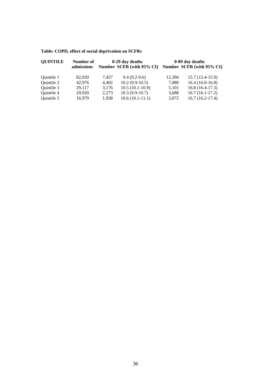# **Table: COPD, effect of social deprivation on SCFRs**

| <b>QUINTILE</b> | Number of<br>admissions |       | 0-29 day deaths<br>Number SCFR (with 95% CI) |        | 0-89 day deaths<br>Number SCFR (with 95% CI) |
|-----------------|-------------------------|-------|----------------------------------------------|--------|----------------------------------------------|
| Ouintile 1      | 82,920                  | 7.457 | $9.4(9.2-9.6)$                               | 12.394 | $15.7(15.4-15.9)$                            |
| Quintile 2      | 42.976                  | 4.402 | $10.2(9.9-10.5)$                             | 7,080  | $16.4(16.0-16.8)$                            |
| Ouintile 3      | 29.117                  | 3,176 | $10.5(10.1-10.9)$                            | 5,101  | $16.8(16.4-17.3)$                            |
| Ouintile 4      | 20,920                  | 2,273 | $10.3(9.9-10.7)$                             | 3,688  | $16.7(16.1-17.2)$                            |
| Quintile 5      | 16,979                  | 1,938 | $10.6(10.1-11.1)$                            | 3,072  | $16.7(16.2-17.4)$                            |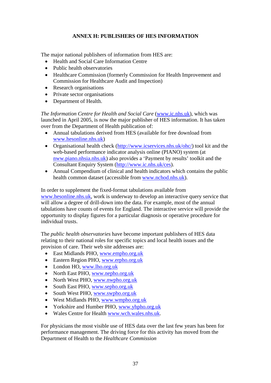# **ANNEX H: PUBLISHERS OF HES INFORMATION**

<span id="page-36-0"></span>The major national publishers of information from HES are:

- Health and Social Care Information Centre
- Public health observatories
- Healthcare Commission (formerly Commission for Health Improvement and Commission for Healthcare Audit and Inspection)
- Research organisations
- Private sector organisations
- Department of Health.

*The Information Centre for Health and Social Care (www.ic.nhs.uk), which was* launched in April 2005, is now the major publisher of HES information. It has taken over from the Department of Health publication of:

- Annual tabulations derived from HES (available for free download from www.hesonline.nhs.uk)
- Organisational health check (http://www.icservices.nhs.uk/ohc/) tool kit and the web-based performance indicator analysis online (PIANO) system (at nww.piano.nhsia.nhs.uk) also provides a 'Payment by results' toolkit and the Consultant Enquiry System (http://www.ic.nhs.uk/ces).
- Annual Compendium of clinical and health indicators which contains the public health common dataset (accessible from www.nchod.nhs.uk).

In order to supplement the fixed-format tabulations available from www.hesonline.nhs.uk, work is underway to develop an interactive query service that will allow a degree of drill-down into the data. For example, most of the annual tabulations have counts of events for England. The interactive service will provide the opportunity to display figures for a particular diagnosis or operative procedure for individual trusts.

The *public health observatories* have become important publishers of HES data relating to their national roles for specific topics and local health issues and the provision of care. Their web site addresses are:

- East Midlands PHO, www.empho.org.uk
- Eastern Region PHO, www.erpho.org.uk
- London HO, www.lho.org.uk
- North East PHO, www.nepho.org.uk
- North West PHO, www.nwpho.org.uk
- South East PHO, www.sepho.org.uk
- South West PHO, www.swpho.org.uk
- West Midlands PHO, www.wmpho.org.uk
- Yorkshire and Humber PHO, www.yhpho.org.uk
- Wales Centre for Health www.wch.wales.nhs.uk.

For physicians the most visible use of HES data over the last few years has been for performance management. The driving force for this activity has moved from the Department of Health to the *Healthcare Commission*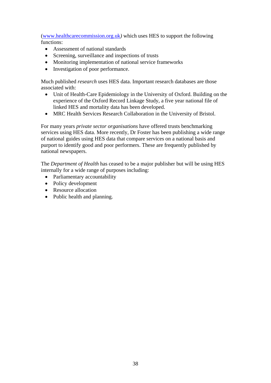(www.healthcarecommission.org.uk*)* which uses HES to support the following functions:

- Assessment of national standards
- Screening, surveillance and inspections of trusts
- Monitoring implementation of national service frameworks
- Investigation of poor performance.

Much published *research* uses HES data. Important research databases are those associated with:

- Unit of Health-Care Epidemiology in the University of Oxford. Building on the experience of the Oxford Record Linkage Study, a five year national file of linked HES and mortality data has been developed.
- MRC Health Services Research Collaboration in the University of Bristol.

For many years *private sector organisations* have offered trusts benchmarking services using HES data. More recently, Dr Foster has been publishing a wide range of national guides using HES data that compare services on a national basis and purport to identify good and poor performers. These are frequently published by national newspapers.

The *Department of Health* has ceased to be a major publisher but will be using HES internally for a wide range of purposes including:

- Parliamentary accountability
- Policy development
- Resource allocation
- Public health and planning.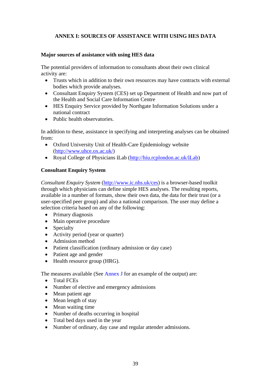# <span id="page-38-0"></span>**ANNEX I: SOURCES OF ASSISTANCE WITH USING HES DATA**

## **Major sources of assistance with using HES data**

The potential providers of information to consultants about their own clinical activity are:

- Trusts which in addition to their own resources may have contracts with external bodies which provide analyses.
- Consultant Enquiry System (CES) set up Department of Health and now part of the Health and Social Care Information Centre
- HES Enquiry Service provided by Northgate Information Solutions under a national contract
- Public health observatories.

In addition to these, assistance in specifying and interpreting analyses can be obtained from:

- Oxford University Unit of Health-Care Epidemiology website (http://www.uhce.ox.ac.uk/)
- Royal College of Physicians *i*Lab (http://hiu.rcplondon.ac.uk/*i*Lab)

## **Consultant Enquiry System**

*Consultant Enquiry System* (http://www.ic.nhs.uk/ces) is a browser-based toolkit through which physicians can define simple HES analyses. The resulting reports, available in a number of formats, show their own data, the data for their trust (or a user-specified peer group) and also a national comparison. The user may define a selection criteria based on any of the following:

- Primary diagnosis
- Main operative procedure
- Specialty
- Activity period (year or quarter)
- Admission method
- Patient classification (ordinary admission or day case)
- Patient age and gender
- Health resource group (HRG).

The measures available (Se[e Annex J fo](#page-41-0)r an example of the output) are:

- Total FCEs
- Number of elective and emergency admissions
- Mean patient age
- Mean length of stay
- Mean waiting time
- Number of deaths occurring in hospital
- Total bed days used in the year
- Number of ordinary, day case and regular attender admissions.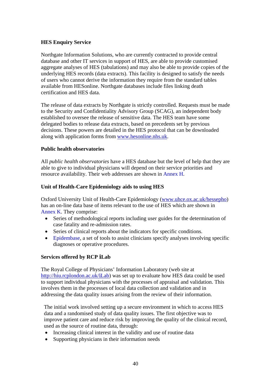#### **HES Enquiry Service**

Northgate Information Solutions, who are currently contracted to provide central database and other IT services in support of HES, are able to provide customised aggregate analyses of HES (tabulations) and may also be able to provide copies of the underlying HES records (data extracts). This facility is designed to satisfy the needs of users who cannot derive the information they require from the standard tables available from HESonline. Northgate databases include files linking death certification and HES data.

The release of data extracts by Northgate is strictly controlled. Requests must be made to the Security and Confidentiality Advisory Group (SCAG), an independent body established to oversee the release of sensitive data. The HES team have some delegated bodies to release data extracts, based on precedents set by previous decisions. These powers are detailed in the HES protocol that can be downloaded along with application forms from www.hesonline.nhs.uk.

#### **Public health observatories**

All *public health observatories* have a HES database but the level of help that they are able to give to individual physicians will depend on their service priorities and resource availability. Their web addresses are shown in [Annex H.](#page-36-0) 

#### **Unit of Health-Care Epidemiology aids to using HES**

Oxford University Unit of Health-Care Epidemiology (www.uhce.ox.ac.uk/hessepho) has an on-line data base of items relevant to the use of HES which are shown in [Annex K.](#page-43-0) They comprise:

- Series of methodological reports including user guides for the determination of case fatality and re-admission rates.
- Series of clinical reports about the indicators for specific conditions.
- [Epidembase,](http://www.uhce.ox.ac.uk/Epidembase2/) a set of tools to assist clinicians specify analyses involving specific diagnoses or operative procedures.

#### **Services offered by RCP** *i***Lab**

The Royal College of Physicians' Information Laboratory (web site at http://hiu.rcplondon.ac.uk/*i*Lab) was set up to evaluate how HES data could be used to support individual physicians with the processes of appraisal and validation. This involves them in the processes of local data collection and validation and in addressing the data quality issues arising from the review of their information.

The initial work involved setting up a secure environment in which to access HES data and a randomised study of data quality issues. The first objective was to improve patient care and reduce risk by improving the quality of the clinical record, used as the source of routine data, through:

- Increasing clinical interest in the validity and use of routine data
- Supporting physicians in their information needs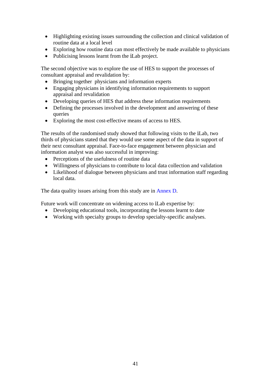- Highlighting existing issues surrounding the collection and clinical validation of routine data at a local level
- Exploring how routine data can most effectively be made available to physicians
- Publicising lessons learnt from the *i*Lab project.

The second objective was to explore the use of HES to support the processes of consultant appraisal and revalidation by:

- Bringing together physicians and information experts
- Engaging physicians in identifying information requirements to support appraisal and revalidation
- Developing queries of HES that address these information requirements
- Defining the processes involved in the development and answering of these queries
- Exploring the most cost-effective means of access to HES.

The results of the randomised study showed that following visits to the *i*Lab, two thirds of physicians stated that they would use some aspect of the data in support of their next consultant appraisal. Face-to-face engagement between physician and information analyst was also successful in improving:

- Perceptions of the usefulness of routine data
- Willingness of physicians to contribute to local data collection and validation
- Likelihood of dialogue between physicians and trust information staff regarding local data.

The data quality issues arising from this study are in [Annex D.](#page-11-0) 

Future work will concentrate on widening access to *i*Lab expertise by:

- Developing educational tools, incorporating the lessons learnt to date
- Working with specialty groups to develop specialty-specific analyses.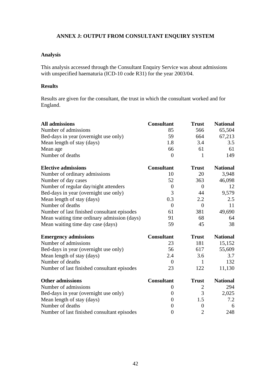# <span id="page-41-0"></span>**ANNEX J: OUTPUT FROM CONSULTANT ENQUIRY SYSTEM**

# **Analysis**

This analysis accessed through the Consultant Enquiry Service was about admissions with unspecified haematuria (ICD-10 code R31) for the year 2003/04.

#### **Results**

Results are given for the consultant, the trust in which the consultant worked and for England.

| <b>All admissions</b>                       | <b>Consultant</b> | <b>Trust</b>     | <b>National</b> |
|---------------------------------------------|-------------------|------------------|-----------------|
| Number of admissions                        | 85                | 566              | 65,504          |
| Bed-days in year (overnight use only)       | 59                | 664              | 67,213          |
| Mean length of stay (days)                  | 1.8               | 3.4              | 3.5             |
| Mean age                                    | 66                | 61               | 61              |
| Number of deaths                            | $\overline{0}$    | 1                | 149             |
| <b>Elective admissions</b>                  | <b>Consultant</b> | <b>Trust</b>     | <b>National</b> |
| Number of ordinary admissions               | 10                | 20               | 3,948           |
| Number of day cases                         | 52                | 363              | 46,098          |
| Number of regular day/night attenders       | $\boldsymbol{0}$  | $\theta$         | 12              |
| Bed-days in year (overnight use only)       | 3                 | 44               | 9,579           |
| Mean length of stay (days)                  | 0.3               | 2.2              | 2.5             |
| Number of deaths                            | $\overline{0}$    | $\overline{0}$   | 11              |
| Number of last finished consultant episodes | 61                | 381              | 49,690          |
| Mean waiting time ordinary admission (days) | 91                | 68               | 64              |
| Mean waiting time day case (days)           | 59                | 45               | 38              |
| <b>Emergency admissions</b>                 | <b>Consultant</b> | <b>Trust</b>     | <b>National</b> |
| Number of admissions                        | 23                | 181              | 15,152          |
| Bed-days in year (overnight use only)       | 56                | 617              | 55,609          |
| Mean length of stay (days)                  | 2.4               | 3.6              | 3.7             |
| Number of deaths                            | $\overline{0}$    | 1                | 132             |
| Number of last finished consultant episodes | 23                | 122              | 11,130          |
| <b>Other admissions</b>                     | <b>Consultant</b> | <b>Trust</b>     | <b>National</b> |
| Number of admissions                        | $\boldsymbol{0}$  | 2                | 294             |
| Bed-days in year (overnight use only)       | $\overline{0}$    | 3                | 2,025           |
| Mean length of stay (days)                  | $\overline{0}$    | 1.5              | 7.2             |
| Number of deaths                            | $\boldsymbol{0}$  | $\boldsymbol{0}$ | 6               |
| Number of last finished consultant episodes | $\boldsymbol{0}$  | $\overline{2}$   | 248             |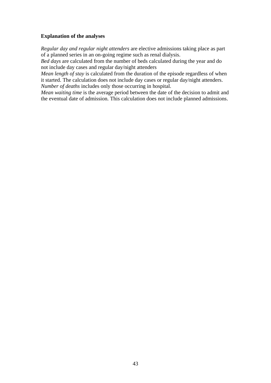#### **Explanation of the analyses**

*Regular day and regular night attenders* are elective admissions taking place as part of a planned series in an on-going regime such as renal dialysis.

*Bed days* are calculated from the number of beds calculated during the year and do not include day cases and regular day/night attenders

*Mean length of stay* is calculated from the duration of the episode regardless of when it started. The calculation does not include day cases or regular day/night attenders. *Number of deaths* includes only those occurring in hospital.

*Mean waiting time* is the average period between the date of the decision to admit and the eventual date of admission. This calculation does not include planned admissions.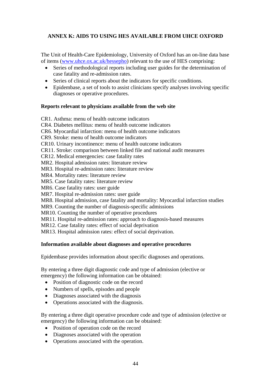# <span id="page-43-0"></span>**ANNEX K: AIDS TO USING HES AVAILABLE FROM UHCE OXFORD**

The Unit of Health-Care Epidemiology, University of Oxford has an on-line data base of items (www.uhce.ox.ac.uk/hessepho) relevant to the use of HES comprising:

- Series of methodological reports including user guides for the determination of case fatality and re-admission rates.
- Series of clinical reports about the indicators for specific conditions.
- Epidembase, a set of tools to assist clinicians specify analyses involving specific diagnoses or operative procedures.

## **Reports relevant to physicians available from the web site**

CR1. Asthma: menu of health outcome indicators

CR4. Diabetes mellitus: menu of health outcome indicators

CR6. Myocardial infarction: menu of health outcome indicators

CR9. Stroke: menu of health outcome indicators

CR10. Urinary incontinence: menu of health outcome indicators

CR11. Stroke: comparison between linked file and national audit measures

CR12. Medical emergencies: case fatality rates

MR2. Hospital admission rates: literature review

MR3. Hospital re-admission rates: literature review

MR4. Mortality rates: literature review

MR5. Case fatality rates: literature review

MR6. Case fatality rates: user guide

MR7. Hospital re-admission rates: user guide

MR8. Hospital admission, case fatality and mortality: Myocardial infarction studies

MR9. Counting the number of diagnosis-specific admissions

MR10. Counting the number of operative procedures

MR11. Hospital re-admission rates: approach to diagnosis-based measures

MR12. Case fatality rates: effect of social deprivation

MR13. Hospital admission rates: effect of social deprivation.

## **Information available about diagnoses and operative procedures**

Epidembase provides information about specific diagnoses and operations.

By entering a three digit diagnostic code and type of admission (elective or emergency) the following information can be obtained:

- Position of diagnostic code on the record
- Numbers of spells, episodes and people
- Diagnoses associated with the diagnosis
- Operations associated with the diagnosis.

By entering a three digit operative procedure code and type of admission (elective or emergency) the following information can be obtained:

- Position of operation code on the record
- Diagnoses associated with the operation
- Operations associated with the operation.